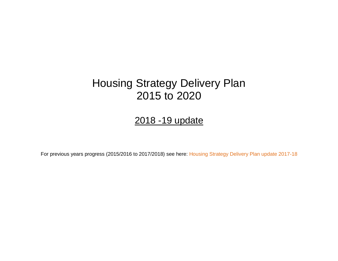# Housing Strategy Delivery Plan 2015 to 2020

## 2018 -19 update

For previous years progress (2015/2016 to 2017/2018) see here: [Housing Strategy Delivery Plan update 2017-18](https://cbccrmdata.blob.core.windows.net/noteattachment/Housing%20Strategy%20Delivery%20Plan%20updated%202017-18%20Final.pdf)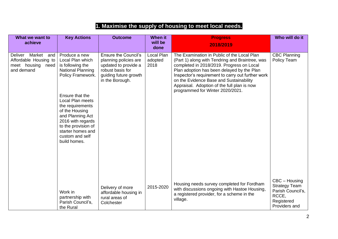### **1. Maximise the supply of housing to meet local needs.**

| What we want to<br>achieve                                                                  | <b>Key Actions</b>                                                                                                                                                                                                                                                                                          | <b>Outcome</b>                                                                                                                               | <b>When it</b><br>will be<br>done | <b>Progress</b><br>2018/2019                                                                                                                                                                                                                                                                                                                                                 | Who will do it                                                                                     |
|---------------------------------------------------------------------------------------------|-------------------------------------------------------------------------------------------------------------------------------------------------------------------------------------------------------------------------------------------------------------------------------------------------------------|----------------------------------------------------------------------------------------------------------------------------------------------|-----------------------------------|------------------------------------------------------------------------------------------------------------------------------------------------------------------------------------------------------------------------------------------------------------------------------------------------------------------------------------------------------------------------------|----------------------------------------------------------------------------------------------------|
| Market<br><b>Deliver</b><br>and<br>Affordable Housing to<br>meet housing need<br>and demand | Produce a new<br>Local Plan which<br>is following the<br><b>National Planning</b><br>Policy Framework.<br>Ensure that the<br>Local Plan meets<br>the requirements<br>of the Housing<br>and Planning Act<br>2016 with regards<br>to the provision of<br>starter homes and<br>custom and self<br>build homes. | <b>Ensure the Council's</b><br>planning policies are<br>updated to provide a<br>robust basis for<br>guiding future growth<br>in the Borough. | Local Plan<br>adopted<br>2018     | The Examination in Public of the Local Plan<br>(Part 1) along with Tendring and Braintree, was<br>completed in 2018/2019. Progress on Local<br>Plan adoption has been delayed by the Plan<br>Inspector's requirement to carry out further work<br>on the Evidence Base and Sustainability<br>Appraisal. Adoption of the full plan is now<br>programmed for Winter 2020/2021. | <b>CBC Planning</b><br>Policy Team                                                                 |
|                                                                                             | Work in<br>partnership with<br>Parish Council's,<br>the Rural                                                                                                                                                                                                                                               | Delivery of more<br>affordable housing in<br>rural areas of<br>Colchester                                                                    | 2015-2020                         | Housing needs survey completed for Fordham<br>with discussions ongoing with Hastoe Housing,<br>a registered provider, for a scheme in the<br>village.                                                                                                                                                                                                                        | CBC - Housing<br><b>Strategy Team</b><br>Parish Council's,<br>RCCE,<br>Registered<br>Providers and |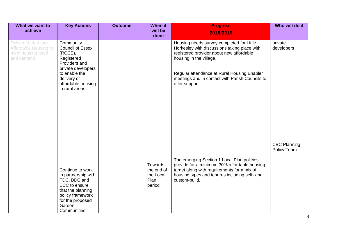| What we want to                                                                       | <b>Key Actions</b>                                                                                                                                                               | <b>Outcome</b> | <b>When it</b>                                       | <b>Progress</b>                                                                                                                                                                                                                                                                      | Who will do it                     |
|---------------------------------------------------------------------------------------|----------------------------------------------------------------------------------------------------------------------------------------------------------------------------------|----------------|------------------------------------------------------|--------------------------------------------------------------------------------------------------------------------------------------------------------------------------------------------------------------------------------------------------------------------------------------|------------------------------------|
| achieve                                                                               |                                                                                                                                                                                  |                | will be<br>done                                      | 2018/2019                                                                                                                                                                                                                                                                            |                                    |
| Deliver Market and<br><b>Affordable Housing to</b><br>meet housing need<br>and demand | Community<br><b>Council of Essex</b><br>$(RCCE)$ ,<br>Registered<br>Providers and<br>private developers<br>to enable the<br>delivery of<br>affordable housing<br>in rural areas. |                |                                                      | Housing needs survey completed for Little<br>Horkesley with discussions taking place with<br>registered provider about new affordable<br>housing in the village.<br>Regular attendance at Rural Housing Enabler<br>meetings and in contact with Parish Councils to<br>offer support. | private<br>developers              |
|                                                                                       | Continue to work<br>in partnership with<br>TDC, BDC and<br>ECC to ensure<br>that the planning<br>policy framework<br>for the proposed<br>Garden<br>Communities                   |                | Towards<br>the end of<br>the Local<br>Plan<br>period | The emerging Section 1 Local Plan policies<br>provide for a minimum 30% affordable housing<br>target along with requirements for a mix of<br>housing types and tenures including self- and<br>custom-build.                                                                          | <b>CBC Planning</b><br>Policy Team |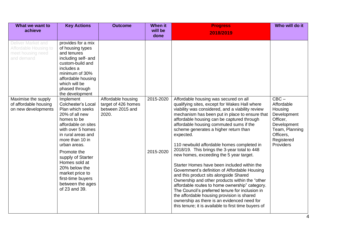| What we want to                                                                                                                                              | <b>Key Actions</b>                                                                                                                                                                                                                                                                                                                                                                                                                                                                                                                                                  | <b>Outcome</b>                                                         | <b>When it</b>         | <b>Progress</b>                                                                                                                                                                                                                                                                                                                                                                                                                                                                                                                                                                                                                                                                                                                                                                                                                                                                                                                            | Who will do it                                                                                                                       |
|--------------------------------------------------------------------------------------------------------------------------------------------------------------|---------------------------------------------------------------------------------------------------------------------------------------------------------------------------------------------------------------------------------------------------------------------------------------------------------------------------------------------------------------------------------------------------------------------------------------------------------------------------------------------------------------------------------------------------------------------|------------------------------------------------------------------------|------------------------|--------------------------------------------------------------------------------------------------------------------------------------------------------------------------------------------------------------------------------------------------------------------------------------------------------------------------------------------------------------------------------------------------------------------------------------------------------------------------------------------------------------------------------------------------------------------------------------------------------------------------------------------------------------------------------------------------------------------------------------------------------------------------------------------------------------------------------------------------------------------------------------------------------------------------------------------|--------------------------------------------------------------------------------------------------------------------------------------|
| achieve                                                                                                                                                      |                                                                                                                                                                                                                                                                                                                                                                                                                                                                                                                                                                     |                                                                        | will be<br>done        | 2018/2019                                                                                                                                                                                                                                                                                                                                                                                                                                                                                                                                                                                                                                                                                                                                                                                                                                                                                                                                  |                                                                                                                                      |
| Deliver Market and<br><b>Affordable Housing to</b><br>meet housing need<br>and demand<br>Maximise the supply<br>of affordable housing<br>on new developments | provides for a mix<br>of housing types<br>and tenures<br>including self- and<br>custom-build and<br>includes a<br>minimum of 30%<br>affordable housing<br>which will be<br>phased through<br>the development<br>Implement<br><b>Colchester's Local</b><br>Plan which seeks<br>20% of all new<br>homes to be<br>affordable on sites<br>with over 5 homes<br>in rural areas and<br>more than 10 in<br>urban areas.<br>Promote the<br>supply of Starter<br>Homes sold at<br>20% below the<br>market price to<br>first-time buyers<br>between the ages<br>of 23 and 39. | Affordable housing<br>target of 426 homes<br>between 2015 and<br>2020. | 2015-2020<br>2015-2020 | Affordable housing was secured on all<br>qualifying sites, except for Wakes Hall where<br>viability was considered, and a viability review<br>mechanism has been put in place to ensure that<br>affordable housing can be captured through<br>affordable housing commuted sums if the<br>scheme generates a higher return than<br>expected.<br>110 newbuild affordable homes completed in<br>2018/19. This brings the 3-year total to 448<br>new homes, exceeding the 5 year target.<br>Starter Homes have been included within the<br>Government's definition of Affordable Housing<br>and this product sits alongside Shared<br>Ownership and other products within the "other<br>affordable routes to home ownership" category.<br>The Council's preferred tenure for inclusion in<br>the affordable housing provision is shared<br>ownership as there is an evidenced need for<br>this tenure; it is available to first time buyers of | $CBC -$<br>Affordable<br>Housing<br>Development<br>Officer,<br>Development<br>Team, Planning<br>Officers,<br>Registered<br>Providers |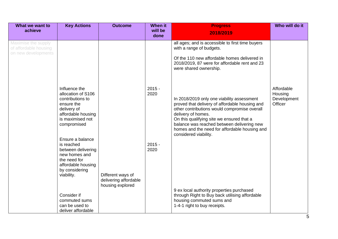| What we want to                                                     | <b>Key Actions</b>                                                                                                                                                                                                                                                                           | <b>Outcome</b>                                                 | <b>When it</b>                       | <b>Progress</b>                                                                                                                                                                                                                                                                                                                         | Who will do it                                  |
|---------------------------------------------------------------------|----------------------------------------------------------------------------------------------------------------------------------------------------------------------------------------------------------------------------------------------------------------------------------------------|----------------------------------------------------------------|--------------------------------------|-----------------------------------------------------------------------------------------------------------------------------------------------------------------------------------------------------------------------------------------------------------------------------------------------------------------------------------------|-------------------------------------------------|
| achieve                                                             |                                                                                                                                                                                                                                                                                              |                                                                | will be<br>done                      | 2018/2019                                                                                                                                                                                                                                                                                                                               |                                                 |
| Maximise the supply<br>of affordable housing<br>on new developments |                                                                                                                                                                                                                                                                                              |                                                                |                                      | all ages; and is accessible to first time buyers<br>with a range of budgets.                                                                                                                                                                                                                                                            |                                                 |
|                                                                     |                                                                                                                                                                                                                                                                                              |                                                                |                                      | Of the 110 new affordable homes delivered in<br>2018/2019, 87 were for affordable rent and 23<br>were shared ownership.                                                                                                                                                                                                                 |                                                 |
|                                                                     | Influence the<br>allocation of S106<br>contributions to<br>ensure the<br>delivery of<br>affordable housing<br>is maximised not<br>compromised<br>Ensure a balance<br>is reached<br>between delivering<br>new homes and<br>the need for<br>affordable housing<br>by considering<br>viability. | Different ways of<br>delivering affordable<br>housing explored | $2015 -$<br>2020<br>$2015 -$<br>2020 | In 2018/2019 only one viability assessment<br>proved that delivery of affordable housing and<br>other contributions would compromise overall<br>delivery of homes.<br>On this qualifying site we ensured that a<br>balance was reached between delivering new<br>homes and the need for affordable housing and<br>considered viability. | Affordable<br>Housing<br>Development<br>Officer |
|                                                                     | Consider if<br>commuted sums<br>can be used to<br>deliver affordable                                                                                                                                                                                                                         |                                                                |                                      | 9 ex local authority properties purchased<br>through Right to Buy back utilising affordable<br>housing commuted sums and<br>1-4-1 right to buy receipts.                                                                                                                                                                                |                                                 |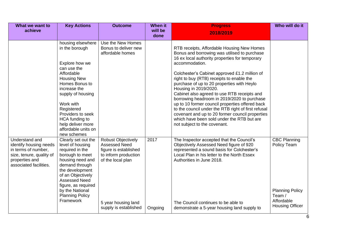| What we want to<br>achieve                                                                                                              | <b>Key Actions</b>                                                                                                                                                                                                                                                                           | <b>Outcome</b>                                                                                                                                                          | <b>When it</b><br>will be<br>done | <b>Progress</b><br>2018/2019                                                                                                                                                                                                                                                                                                                                                                                                                                                                                                                                                                                                                                                 | Who will do it                                                                                                 |
|-----------------------------------------------------------------------------------------------------------------------------------------|----------------------------------------------------------------------------------------------------------------------------------------------------------------------------------------------------------------------------------------------------------------------------------------------|-------------------------------------------------------------------------------------------------------------------------------------------------------------------------|-----------------------------------|------------------------------------------------------------------------------------------------------------------------------------------------------------------------------------------------------------------------------------------------------------------------------------------------------------------------------------------------------------------------------------------------------------------------------------------------------------------------------------------------------------------------------------------------------------------------------------------------------------------------------------------------------------------------------|----------------------------------------------------------------------------------------------------------------|
|                                                                                                                                         | housing elsewhere<br>in the borough<br>Explore how we<br>can use the<br>Affordable<br><b>Housing New</b><br>Homes Bonus to<br>increase the<br>supply of housing<br>Work with<br>Registered<br>Providers to seek<br>HCA funding to<br>help deliver more<br>affordable units on<br>new schemes | Use the New Homes<br>Bonus to deliver new<br>affordable homes                                                                                                           |                                   | RTB receipts, Affordable Housing New Homes<br>Bonus and borrowing was utilised to purchase<br>16 ex local authority properties for temporary<br>accommodation.<br>Colchester's Cabinet approved £1.2 million of<br>right to buy (RTB) receipts to enable the<br>purchase of up to 20 properties with Heylo<br>Housing in 2019/2020.<br>Cabinet also agreed to use RTB receipts and<br>borrowing headroom in 2019/2020 to purchase<br>up to 10 former council properties offered back<br>to the council under the RTB right of first refusal<br>covenant and up to 20 former council properties<br>which have been sold under the RTB but are<br>not subject to the covenant. |                                                                                                                |
| Understand and<br>identify housing needs<br>in terms of number,<br>size, tenure, quality of<br>properties and<br>associated facilities. | Clearly set out the<br>level of housing<br>required in the<br>borough to meet<br>housing need and<br>demand through<br>the development<br>of an Objectively<br><b>Assessed Need</b><br>figure, as required<br>by the National<br><b>Planning Policy</b><br>Framework                         | <b>Robust Objectively</b><br><b>Assessed Need</b><br>figure is established<br>to inform production<br>of the local plan<br>5 year housing land<br>supply is established | 2017<br>Ongoing                   | The Inspector accepted that the Council's<br>Objectively Assessed Need figure of 920<br>represented a sound basis for Colchester's<br>Local Plan in his letter to the North Essex<br>Authorities in June 2018.<br>The Council continues to be able to<br>demonstrate a 5-year housing land supply to                                                                                                                                                                                                                                                                                                                                                                         | <b>CBC Planning</b><br>Policy Team<br><b>Planning Policy</b><br>Team /<br>Affordable<br><b>Housing Officer</b> |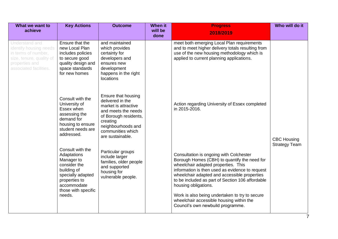| What we want to<br>achieve                                                                                                              | <b>Key Actions</b>                                                                                                                                                 | <b>Outcome</b>                                                                                                                                                                             | <b>When it</b><br>will be | <b>Progress</b><br>2018/2019                                                                                                                                                                                                                                                                                                                                                                                                                     | Who will do it                             |
|-----------------------------------------------------------------------------------------------------------------------------------------|--------------------------------------------------------------------------------------------------------------------------------------------------------------------|--------------------------------------------------------------------------------------------------------------------------------------------------------------------------------------------|---------------------------|--------------------------------------------------------------------------------------------------------------------------------------------------------------------------------------------------------------------------------------------------------------------------------------------------------------------------------------------------------------------------------------------------------------------------------------------------|--------------------------------------------|
| Understand and<br>identify housing needs<br>in terms of number,<br>size, tenure, quality of<br>properties and<br>associated facilities. | Ensure that the<br>new Local Plan<br>includes policies<br>to secure good<br>quality design and<br>space standards<br>for new homes                                 | and maintained<br>which provides<br>certainty for<br>developers and<br>ensures new<br>development<br>happens in the right<br>locations                                                     | done                      | meet both emerging Local Plan requirements<br>and to meet higher delivery totals resulting from<br>use of the new housing methodology which is<br>applied to current planning applications.                                                                                                                                                                                                                                                      |                                            |
|                                                                                                                                         | Consult with the<br>University of<br>Essex when<br>assessing the<br>demand for<br>housing to ensure<br>student needs are<br>addressed.                             | Ensure that housing<br>delivered in the<br>market is attractive<br>and meets the needs<br>of Borough residents,<br>creating<br>neighbourhoods and<br>communities which<br>are sustainable. |                           | Action regarding University of Essex completed<br>in 2015-2016.                                                                                                                                                                                                                                                                                                                                                                                  | <b>CBC Housing</b><br><b>Strategy Team</b> |
|                                                                                                                                         | Consult with the<br>Adaptations<br>Manager to<br>consider the<br>building of<br>specially adapted<br>properties to<br>accommodate<br>those with specific<br>needs. | Particular groups<br>include larger<br>families, older people<br>and supported<br>housing for<br>vulnerable people.                                                                        |                           | Consultation is ongoing with Colchester<br>Borough Homes (CBH) to quantify the need for<br>wheelchair adapted properties. This<br>information is then used as evidence to request<br>wheelchair adapted and accessible properties<br>to be included as part of Section 106 affordable<br>housing obligations.<br>Work is also being undertaken to try to secure<br>wheelchair accessible housing within the<br>Council's own newbuild programme. |                                            |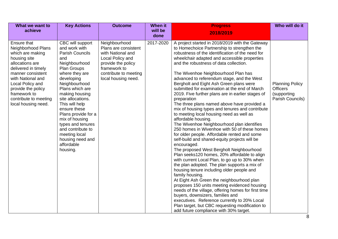| What we want to                                                                                                                                                                                                                                                     | <b>Key Actions</b>                                                                                                                                                                                                                                                                                                                                                                                | <b>Outcome</b>                                                                                                                                                       | When it         | <b>Progress</b>                                                                                                                                                                                                                                                                                                                                                                                                                                                                                                                                                                                                                                                                                                                                                                                                                                                                                                                                                                                                                                                                                                                                                                                                                                                                                                                                                                                                                                                                        | Who will do it                                                               |
|---------------------------------------------------------------------------------------------------------------------------------------------------------------------------------------------------------------------------------------------------------------------|---------------------------------------------------------------------------------------------------------------------------------------------------------------------------------------------------------------------------------------------------------------------------------------------------------------------------------------------------------------------------------------------------|----------------------------------------------------------------------------------------------------------------------------------------------------------------------|-----------------|----------------------------------------------------------------------------------------------------------------------------------------------------------------------------------------------------------------------------------------------------------------------------------------------------------------------------------------------------------------------------------------------------------------------------------------------------------------------------------------------------------------------------------------------------------------------------------------------------------------------------------------------------------------------------------------------------------------------------------------------------------------------------------------------------------------------------------------------------------------------------------------------------------------------------------------------------------------------------------------------------------------------------------------------------------------------------------------------------------------------------------------------------------------------------------------------------------------------------------------------------------------------------------------------------------------------------------------------------------------------------------------------------------------------------------------------------------------------------------------|------------------------------------------------------------------------------|
| achieve                                                                                                                                                                                                                                                             |                                                                                                                                                                                                                                                                                                                                                                                                   |                                                                                                                                                                      | will be<br>done | 2018/2019                                                                                                                                                                                                                                                                                                                                                                                                                                                                                                                                                                                                                                                                                                                                                                                                                                                                                                                                                                                                                                                                                                                                                                                                                                                                                                                                                                                                                                                                              |                                                                              |
| Ensure that<br>Neighborhood Plans<br>which are making<br>housing site<br>allocations are<br>delivered in timely<br>manner consistent<br>with National and<br>Local Policy and<br>provide the policy<br>framework to<br>contribute to meeting<br>local housing need. | CBC will support<br>and work with<br><b>Parish Councils</b><br>and<br>Neighbourhood<br>Plan Groups<br>where they are<br>developing<br>Neighbourhood<br>Plans which are<br>making housing<br>site allocations.<br>This will help<br>ensure these<br>Plans provide for a<br>mix of housing<br>types and tenures<br>and contribute to<br>meeting local<br>housing need and<br>affordable<br>housing. | Neighbourhood<br>Plans are consistent<br>with National and<br>Local Policy and<br>provide the policy<br>framework to<br>contribute to meeting<br>local housing need. | 2017-2020       | A project started in 2018/2019 with the Gateway<br>to Homechoice Partnership to strengthen the<br>robustness of the identification of the need for<br>wheelchair adapted and accessible properties<br>and the robustness of data collection.<br>The Wivenhoe Neighbourhood Plan has<br>advanced to referendum stage, and the West<br>Bergholt and Eight Ash Green plans were<br>submitted for examination at the end of March<br>2019. Five further plans are in earlier stages of<br>preparation<br>The three plans named above have provided a<br>mix of housing types and tenures and contribute<br>to meeting local housing need as well as<br>affordable housing.<br>The Wivenhoe Neighbourhood plan identifies<br>250 homes in Wivenhoe with 50 of these homes<br>for older people. Affordable rented and some<br>self-build and shared-equity projects will be<br>encouraged.<br>The proposed West Bergholt Neighbourhood<br>Plan seeks120 homes, 20% affordable to align<br>with current Local Plan, to go up to 30% when<br>the plan adopted. The plan supports a mix of<br>housing tenure including older people and<br>family housing.<br>At Eight Ash Green the neighbourhood plan<br>proposes 150 units meeting evidenced housing<br>needs of the village, offering homes for first time<br>buyers, downsizers, families and<br>executives. Reference currently to 20% Local<br>Plan target, but CBC requesting modification to<br>add future compliance with 30% target. | <b>Planning Policy</b><br><b>Officers</b><br>(supporting<br>Parish Councils) |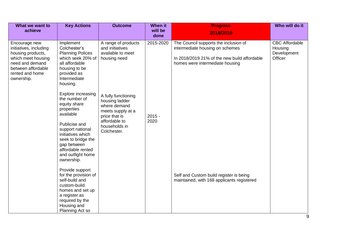| What we want to                                                                                                                                              | <b>Key Actions</b>                                                                                                                                                                                                                                                                                                                                                                                                                                                                                                                    | <b>Outcome</b>                                                                                                                                                                                                              | <b>When it</b>                | <b>Progress</b>                                                                                                                                                                                                                                      | Who will do it                                             |
|--------------------------------------------------------------------------------------------------------------------------------------------------------------|---------------------------------------------------------------------------------------------------------------------------------------------------------------------------------------------------------------------------------------------------------------------------------------------------------------------------------------------------------------------------------------------------------------------------------------------------------------------------------------------------------------------------------------|-----------------------------------------------------------------------------------------------------------------------------------------------------------------------------------------------------------------------------|-------------------------------|------------------------------------------------------------------------------------------------------------------------------------------------------------------------------------------------------------------------------------------------------|------------------------------------------------------------|
| achieve                                                                                                                                                      |                                                                                                                                                                                                                                                                                                                                                                                                                                                                                                                                       |                                                                                                                                                                                                                             | will be<br>done               | 2018/2019                                                                                                                                                                                                                                            |                                                            |
| Encourage new<br>initiatives, including<br>housing products,<br>which meet housing<br>need and demand<br>between affordable<br>rented and home<br>ownership. | Implement<br>Colchester's<br><b>Planning Polices</b><br>which seek 20% of<br>all affordable<br>housing to be<br>provided as<br>Intermediate<br>housing.<br>Explore increasing<br>the number of<br>equity share<br>properties<br>available<br>Publicise and<br>support national<br>initiatives which<br>seek to bridge the<br>gap between<br>affordable rented<br>and outfight home<br>ownership.<br>Provide support<br>for the provision of<br>self-build and<br>custom-build<br>homes and set up<br>a register as<br>required by the | A range of products<br>and initiatives<br>available to meet<br>housing need<br>A fully functioning<br>housing ladder<br>where demand<br>meets supply at a<br>price that is<br>affordable to<br>households in<br>Colchester. | 2015-2020<br>$2015 -$<br>2020 | The Council supports the inclusion of<br>intermediate housing on schemes<br>In 2018/2019 21% of the new build affordable<br>homes were intermediate housing<br>Self and Custom build register is being<br>maintained, with 168 applicants registered | <b>CBC</b> Affordable<br>Housing<br>Development<br>Officer |
|                                                                                                                                                              | Housing and<br>Planning Act so                                                                                                                                                                                                                                                                                                                                                                                                                                                                                                        |                                                                                                                                                                                                                             |                               |                                                                                                                                                                                                                                                      |                                                            |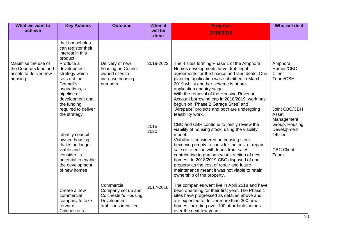| What we want to<br>achieve                                                         | <b>Key Actions</b>                                                                                                                                                                | <b>Outcome</b>                                                                                          | When it<br>will be<br>done | <b>Progress</b><br>2018/2019                                                                                                                                                                                                                                                                                                                                                                                                                                            | Who will do it                                                                     |
|------------------------------------------------------------------------------------|-----------------------------------------------------------------------------------------------------------------------------------------------------------------------------------|---------------------------------------------------------------------------------------------------------|----------------------------|-------------------------------------------------------------------------------------------------------------------------------------------------------------------------------------------------------------------------------------------------------------------------------------------------------------------------------------------------------------------------------------------------------------------------------------------------------------------------|------------------------------------------------------------------------------------|
|                                                                                    | that households<br>can register their<br>interest in this<br>product.                                                                                                             |                                                                                                         |                            |                                                                                                                                                                                                                                                                                                                                                                                                                                                                         |                                                                                    |
| Maximise the use of<br>the Council's land and<br>assets to deliver new<br>housing. | Produce a<br>development<br>strategy which<br>sets out the<br>Council's<br>aspirations, a<br>pipeline of<br>development and<br>the funding<br>required to deliver<br>the strategy | Delivery of new<br>housing on Council<br>owned sites to<br>increase housing<br>numbers                  | 2019-2022                  | The 4 sites forming Phase 1 of the Amphora<br>Homes developments have draft legal<br>agreements for the finance and land deals. One<br>planning application was submitted in March<br>2019 whilst another scheme is at pre-<br>application enquiry stage.<br>With the removal of the Housing Revenue<br>Account borrowing cap in 2018/2019, work has<br>begun on "Phase 2 Garage Sites" and<br>"Airspace" projects and both are undergoing<br>feasibility work.         | Amphora<br>Homes/CBC<br>Client<br>Team/CBH<br>Joint CBC/CBH<br>Asset<br>Management |
|                                                                                    | Identify council<br>owned housing<br>that is no longer<br>viable and<br>consider its<br>potential to enable<br>the development<br>of new homes                                    |                                                                                                         | $2015 -$<br>2020           | CBC and CBH continue to jointly review the<br>viability of housing stock, using the viability<br>model.<br>Viability is considered on housing stock<br>becoming empty to consider the cost of repair,<br>sale or retention with funds from sales<br>contributing to purchase/construction of new<br>homes. In 2018/2019 CBC disposed of one<br>property as the cost of repair and future<br>maintenance meant it was not viable to retain<br>ownership of the property. | Group, Housing<br>Development<br>Officer<br><b>CBC Client</b><br>Team              |
|                                                                                    | Create a new<br>commercial<br>company to take<br>forward<br>Colchester's                                                                                                          | Commercial<br>Company set up and<br><b>Colchester's Housing</b><br>Development<br>ambitions identified. | 2017-2018                  | The companies went live in April 2018 and have<br>been operating for their first year. The Phase 1<br>sites have progressed as detailed above and<br>are expected to deliver more than 300 new<br>homes, including over 100 affordable homes<br>over the next few years.                                                                                                                                                                                                |                                                                                    |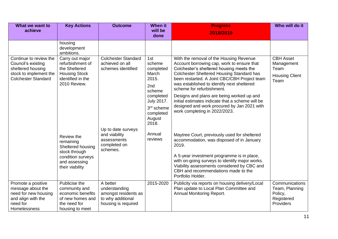| What we want to                                                                                                           | <b>Key Actions</b>                                                                                                     | <b>Outcome</b>                                                                                | <b>When it</b>                                                                                                                         | <b>Progress</b>                                                                                                                                                                                                                                                                                                                                                                                                                                                                                   | Who will do it                                                                |
|---------------------------------------------------------------------------------------------------------------------------|------------------------------------------------------------------------------------------------------------------------|-----------------------------------------------------------------------------------------------|----------------------------------------------------------------------------------------------------------------------------------------|---------------------------------------------------------------------------------------------------------------------------------------------------------------------------------------------------------------------------------------------------------------------------------------------------------------------------------------------------------------------------------------------------------------------------------------------------------------------------------------------------|-------------------------------------------------------------------------------|
| achieve                                                                                                                   |                                                                                                                        |                                                                                               | will be<br>done                                                                                                                        | 2018/2019                                                                                                                                                                                                                                                                                                                                                                                                                                                                                         |                                                                               |
|                                                                                                                           | housing<br>development<br>ambitions.                                                                                   |                                                                                               |                                                                                                                                        |                                                                                                                                                                                                                                                                                                                                                                                                                                                                                                   |                                                                               |
| Continue to review the<br>Council's existing<br>sheltered housing<br>stock to implement the<br><b>Colchester Standard</b> | Carry out major<br>refurbishment of<br>the Sheltered<br><b>Housing Stock</b><br>identified in the<br>2010 Review.      | <b>Colchester Standard</b><br>achieved on all<br>schemes identified                           | 1st<br>scheme<br>completed<br>March<br>2015.<br>2nd<br>scheme<br>completed<br>July 2017.<br>3rd scheme<br>completed<br>August<br>2018. | With the removal of the Housing Revenue<br>Account borrowing cap, work to ensure that<br>Colchester's sheltered housing meets the<br><b>Colchester Sheltered Housing Standard has</b><br>been restarted. A Joint CBC/CBH Project team<br>was established to identify next sheltered<br>scheme for refurbishment.<br>Designs and plans are being worked up and<br>initial estimates indicate that a scheme will be<br>designed and work procured by Jan 2021 with<br>work completing in 2022/2023. | <b>CBH Asset</b><br>Management<br>Team<br><b>Housing Client</b><br>Team       |
|                                                                                                                           | Review the<br>remaining<br>Sheltered housing<br>stock through<br>condition surveys<br>and assessing<br>their viability | Up to date surveys<br>and viability<br>assessments<br>completed on<br>schemes.                | Annual<br>reviews                                                                                                                      | Maytree Court, previously used for sheltered<br>accommodation, was disposed of in January<br>2019.<br>A 5-year investment programme is in place,<br>with on-going surveys to identify major works.<br>Viability assessments considered by CBC and<br>CBH and recommendations made to the<br>Portfolio Holder.                                                                                                                                                                                     |                                                                               |
| Promote a positive<br>message about the<br>need for new housing<br>and align with the<br>need for<br>Homelessness         | Publicise the<br>community and<br>economic benefits<br>of new homes and<br>the need for<br>housing to meet             | A better<br>understanding<br>amongst residents as<br>to why additional<br>housing is required | 2015-2020                                                                                                                              | Publicity via reports on housing delivery/Local<br>Plan update to Local Plan Committee and<br>Annual Monitoring Report.                                                                                                                                                                                                                                                                                                                                                                           | Communications<br>Team, Planning<br>Policy,<br>Registered<br><b>Providers</b> |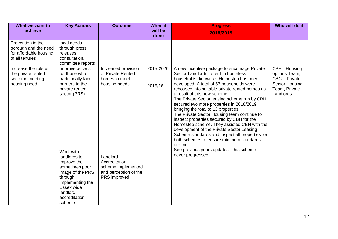| What we want to<br>achieve                                                            | <b>Key Actions</b>                                                                                                                                                                                                                                                               | <b>Outcome</b>                                                                                                                                                         | <b>When it</b><br>will be | <b>Progress</b><br>2018/2019                                                                                                                                                                                                                                                                                                                                                                                                                                                                                                                                                                                                                                                                                                                                         | Who will do it                                                                                         |
|---------------------------------------------------------------------------------------|----------------------------------------------------------------------------------------------------------------------------------------------------------------------------------------------------------------------------------------------------------------------------------|------------------------------------------------------------------------------------------------------------------------------------------------------------------------|---------------------------|----------------------------------------------------------------------------------------------------------------------------------------------------------------------------------------------------------------------------------------------------------------------------------------------------------------------------------------------------------------------------------------------------------------------------------------------------------------------------------------------------------------------------------------------------------------------------------------------------------------------------------------------------------------------------------------------------------------------------------------------------------------------|--------------------------------------------------------------------------------------------------------|
|                                                                                       |                                                                                                                                                                                                                                                                                  |                                                                                                                                                                        | done                      |                                                                                                                                                                                                                                                                                                                                                                                                                                                                                                                                                                                                                                                                                                                                                                      |                                                                                                        |
| Prevention in the<br>borough and the need<br>for affordable housing<br>of all tenures | local needs<br>through press<br>releases,<br>consultation,<br>committee reports                                                                                                                                                                                                  |                                                                                                                                                                        |                           |                                                                                                                                                                                                                                                                                                                                                                                                                                                                                                                                                                                                                                                                                                                                                                      |                                                                                                        |
| Increase the role of<br>the private rented<br>sector in meeting<br>housing need       | Improve access<br>for those who<br>traditionally face<br>barriers to the<br>private rented<br>sector (PRS)<br>Work with<br>landlords to<br>improve the<br>sometimes poor<br>image of the PRS<br>through<br>implementing the<br>Essex wide<br>landlord<br>accreditation<br>scheme | Increased provision<br>of Private Rented<br>homes to meet<br>housing needs<br>Landlord<br>Accreditation<br>scheme implemented<br>and perception of the<br>PRS improved | 2015-2020<br>2015/16      | A new incentive package to encourage Private<br>Sector Landlords to rent to homeless<br>households, known as Homestep has been<br>developed. A total of 57 households were<br>rehoused into suitable private rented homes as<br>a result of this new scheme.<br>The Private Sector leasing scheme run by CBH<br>secured two more properties in 2018/2019<br>bringing the total to 13 properties.<br>The Private Sector Housing team continue to<br>inspect properties secured by CBH for the<br>Homestep scheme. They assisted CBH with the<br>development of the Private Sector Leasing<br>Scheme standards and inspect all properties for<br>both schemes to ensure minimum standards<br>are met.<br>See previous years updates - this scheme<br>never progressed. | CBH - Housing<br>options Team,<br>CBC - Private<br><b>Sector Housing</b><br>Team, Private<br>Landlords |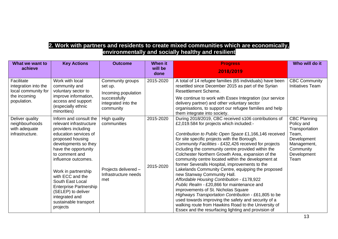#### **2. Work with partners and residents to create mixed communities which are economically, environmentally and socially healthy and resilient**

| What we want to<br>achieve                                                               | <b>Key Actions</b>                                                                                                                                                                                                                                                                                                                                                                          | <b>Outcome</b>                                                                                         | <b>When it</b><br>will be | <b>Progress</b><br>2018/2019                                                                                                                                                                                                                                                                                                                                                                                                                                                                                                                                                                                                                                                                                                                                                                                                                                                                                                                | Who will do it                                                                                                                 |
|------------------------------------------------------------------------------------------|---------------------------------------------------------------------------------------------------------------------------------------------------------------------------------------------------------------------------------------------------------------------------------------------------------------------------------------------------------------------------------------------|--------------------------------------------------------------------------------------------------------|---------------------------|---------------------------------------------------------------------------------------------------------------------------------------------------------------------------------------------------------------------------------------------------------------------------------------------------------------------------------------------------------------------------------------------------------------------------------------------------------------------------------------------------------------------------------------------------------------------------------------------------------------------------------------------------------------------------------------------------------------------------------------------------------------------------------------------------------------------------------------------------------------------------------------------------------------------------------------------|--------------------------------------------------------------------------------------------------------------------------------|
| Facilitate<br>integration into the<br>local community for<br>the incoming<br>population. | Work with local<br>community and<br>voluntary sector to<br>improve information,<br>access and support<br>(especially ethnic<br>minorities)                                                                                                                                                                                                                                                  | Community groups<br>set up.<br>Incoming population<br>successfully<br>integrated into the<br>community | done<br>2015-2020         | A total of 14 refugee families (65 individuals) have been<br>resettled since December 2015 as part of the Syrian<br>Resettlement Scheme.<br>We continue to work with Essex Integration (our service<br>delivery partner) and other voluntary sector<br>organisations, to support our refugee families and help<br>them integrate into society.                                                                                                                                                                                                                                                                                                                                                                                                                                                                                                                                                                                              | <b>CBC Community</b><br>Initiatives Team                                                                                       |
| Deliver quality<br>neighbourhoods<br>with adequate<br>infrastructure.                    | Inform and consult the<br>relevant infrastructure<br>providers including<br>education services of<br>proposed housing<br>developments so they<br>have the opportunity<br>to comment and<br>influence outcomes.<br>Work in partnership<br>with ECC and the<br>South East Local<br><b>Enterprise Partnership</b><br>(SELEP) to deliver<br>integrated and<br>sustainable transport<br>projects | High quality<br>communities<br>Projects delivered -<br>Infrastructure needs<br>met                     | 2015-2020<br>2015-2020    | During 2018/2019, CBC received s106 contributions of<br>£2,019.584 for projects which included:-<br>Contribution to Public Open Space £1,166,146 received<br>for site specific projects with the Borough.<br>Community Facilities - £432,426 received for projects<br>including the community centre provided within the<br>Colchester Northern Growth Area, expansion of the<br>community centre located within the development at<br>former Severalls Hospital, improvements to the<br>Lakelands Community Centre, equipping the proposed<br>new Stanway Community Hall.<br>Affordable Housing Contribution - £178,922<br>Public Realm - £20,866 for maintenance and<br>improvements of St. Nicholas Square<br>Highways Transportation Contribution - £61,805 to be<br>used towards improving the safety and security of a<br>walking route from Hawkins Road to the University of<br>Essex and the resurfacing lighting and provision of | <b>CBC Planning</b><br>Policy and<br>Transportation<br>Team,<br>Development<br>Management,<br>Community<br>Development<br>Team |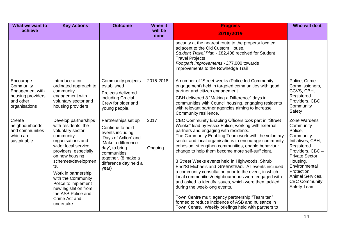| What we want to<br>achieve                                                                   | <b>Key Actions</b>                                                                                                                                                                                                                                                                                                                                | <b>Outcome</b>                                                                                                                                                                                      | <b>When it</b><br>will be | <b>Progress</b><br>2018/2019                                                                                                                                                                                                                                                                                                                                                                                                                                                                                                                                                                                                                                                                                                                                                                                                                                  | Who will do it                                                                                                                                                                                                                           |
|----------------------------------------------------------------------------------------------|---------------------------------------------------------------------------------------------------------------------------------------------------------------------------------------------------------------------------------------------------------------------------------------------------------------------------------------------------|-----------------------------------------------------------------------------------------------------------------------------------------------------------------------------------------------------|---------------------------|---------------------------------------------------------------------------------------------------------------------------------------------------------------------------------------------------------------------------------------------------------------------------------------------------------------------------------------------------------------------------------------------------------------------------------------------------------------------------------------------------------------------------------------------------------------------------------------------------------------------------------------------------------------------------------------------------------------------------------------------------------------------------------------------------------------------------------------------------------------|------------------------------------------------------------------------------------------------------------------------------------------------------------------------------------------------------------------------------------------|
|                                                                                              |                                                                                                                                                                                                                                                                                                                                                   |                                                                                                                                                                                                     | done                      | security at the nearest route to the property located<br>adjacent to the Old Custom House.<br>Student Travel Plan - £82,408 received for Student<br><b>Travel Projects</b><br>Footpath Improvements - £77,000 towards<br>improvements to the Rowhedge Trail                                                                                                                                                                                                                                                                                                                                                                                                                                                                                                                                                                                                   |                                                                                                                                                                                                                                          |
| Encourage<br>Community<br>Engagement with<br>housing providers<br>and other<br>organisations | Introduce a co-<br>ordinated approach to<br>community<br>engagement with<br>voluntary sector and<br>housing providers                                                                                                                                                                                                                             | Community projects<br>established<br>Projects delivered<br>including Crucial<br>Crew for older and<br>young people.                                                                                 | 2015-2018                 | A number of "Street weeks (Police led Community<br>engagement) held in targeted communities with good<br>partner and citizen engagement.<br>CBH delivered 8 "Making a Difference" days in<br>communities with Council housing, engaging residents<br>with relevant partner agencies aiming to increase<br>Community resilience.                                                                                                                                                                                                                                                                                                                                                                                                                                                                                                                               | Police, Crime<br>Commissioners,<br>CCVS, CBH,<br>Registered<br>Providers, CBC<br>Community<br>Safety                                                                                                                                     |
| Create<br>neighbourhoods<br>and communities<br>which are<br>sustainable                      | Develop partnerships<br>with residents, the<br>voluntary sector,<br>community<br>organisations and<br>wider local service<br>providers, especially<br>on new housing<br>schemes/developmen<br>ts.<br>Work in partnership<br>with the Community<br>Police to implement<br>new legislation from<br>the ASB Police and<br>Crime Act and<br>undertake | Partnerships set up<br>Continue to hold<br>events including<br>'Days of Action' and<br>'Make a difference<br>day', to bring<br>communities<br>together. (8 make a<br>difference day held a<br>year) | 2017<br>Ongoing           | CBC Community Enabling Officers took part in "Street<br>Weeks" lead by Essex Police, working with external<br>partners and engaging with residents.<br>The Community Enabling Team work with the voluntary<br>sector and local organisations to encourage community<br>cohesion, strengthen communities, enable behaviour<br>change to help them become more self-sufficient.<br>3 Street Weeks events held in Highwoods, Shrub<br>End/St Michaels and Greenstead. All events included<br>a community consultation prior to the event, in which<br>local communities/neighbourhoods were engaged with<br>and asked to identify issues, which were then tackled<br>during the week-long events.<br>Town Centre multi agency partnership "Team ten"<br>formed to reduce incidence of ASB and nuisance in<br>Town Centre. Weekly briefings held with partners to | Zone Wardens,<br>Community<br>Police,<br>Community<br>Initiatives, CBH,<br>Registered<br>Providers, CBC-<br><b>Private Sector</b><br>Housing,<br>Environmental<br>Protection,<br>Animal Services,<br><b>CBC Community</b><br>Safety Team |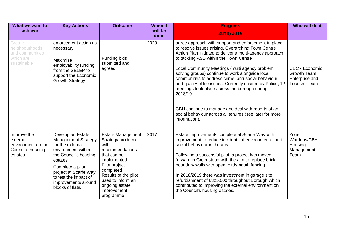| What we want to<br>achieve                                                    | <b>Key Actions</b>                                                                                                                                                                                                                             | <b>Outcome</b>                                                                                                                                                                                                                  | When it<br>will be<br>done | <b>Progress</b><br>2018/2019                                                                                                                                                                                                                                                                                                                                                                                                                                                                                                                                                                                                                   | Who will do it                                                          |
|-------------------------------------------------------------------------------|------------------------------------------------------------------------------------------------------------------------------------------------------------------------------------------------------------------------------------------------|---------------------------------------------------------------------------------------------------------------------------------------------------------------------------------------------------------------------------------|----------------------------|------------------------------------------------------------------------------------------------------------------------------------------------------------------------------------------------------------------------------------------------------------------------------------------------------------------------------------------------------------------------------------------------------------------------------------------------------------------------------------------------------------------------------------------------------------------------------------------------------------------------------------------------|-------------------------------------------------------------------------|
| Create<br>neighbourhoods<br>and communities<br>which are<br>sustainable       | enforcement action as<br>necessary<br>Maximise<br>employability funding<br>from the SELEP to<br>support the Economic<br><b>Growth Strategy</b>                                                                                                 | Funding bids<br>submitted and<br>agreed                                                                                                                                                                                         | 2020                       | agree approach with support and enforcement in place<br>to resolve issues arising. Overarching Town Centre<br>Action Plan initiated to deliver a multi-agency approach<br>to tackling ASB within the Town Centre<br>Local Community Meetings (multi agency problem<br>solving groups) continue to work alongside local<br>communities to address crime, anti-social behaviour<br>and quality of life issues. Currently chaired by Police, 12<br>meetings took place across the borough during<br>2018/19.<br>CBH continue to manage and deal with reports of anti-<br>social behaviour across all tenures (see later for more<br>information). | CBC - Economic<br>Growth Team,<br>Enterprise and<br><b>Tourism Team</b> |
| Improve the<br>external<br>environment on the<br>Council's housing<br>estates | Develop an Estate<br><b>Management Strategy</b><br>for the external<br>environment within<br>the Council's housing<br>estates<br>Complete a pilot<br>project at Scarfe Way<br>to test the impact of<br>improvements around<br>blocks of flats. | <b>Estate Management</b><br>Strategy produced<br>with<br>recommendations<br>that can be<br>implemented<br>Pilot project<br>completed<br>Results of the pilot<br>used to inform an<br>ongoing estate<br>improvement<br>programme | 2017                       | Estate improvements complete at Scarfe Way with<br>improvement to reduce incidents of environmental anti-<br>social behaviour in the area.<br>Following a successful pilot, a project has moved<br>forward in Greenstead with the aim to replace brick<br>boundary walls with open, birdsmouth fencing.<br>In 2018/2019 there was investment in garage site<br>refurbishment of £325,000 throughout Borough which<br>contributed to improving the external environment on<br>the Council's housing estates.                                                                                                                                    | Zone<br>Wardens/CBH<br>Housing<br>Management<br>Team                    |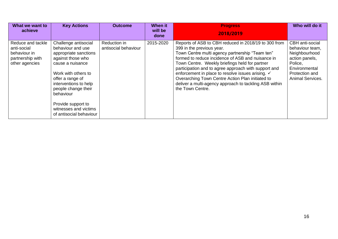| What we want to<br>achieve                                                             | <b>Key Actions</b>                                                                                                                                                                                                                                                                            | <b>Outcome</b>                       | When it<br>will be | <b>Progress</b>                                                                                                                                                                                                                                                                                                                                                                                                                                                                            | Who will do it                                                                                                                                 |
|----------------------------------------------------------------------------------------|-----------------------------------------------------------------------------------------------------------------------------------------------------------------------------------------------------------------------------------------------------------------------------------------------|--------------------------------------|--------------------|--------------------------------------------------------------------------------------------------------------------------------------------------------------------------------------------------------------------------------------------------------------------------------------------------------------------------------------------------------------------------------------------------------------------------------------------------------------------------------------------|------------------------------------------------------------------------------------------------------------------------------------------------|
|                                                                                        |                                                                                                                                                                                                                                                                                               |                                      | done               | 2018/2019                                                                                                                                                                                                                                                                                                                                                                                                                                                                                  |                                                                                                                                                |
| Reduce and tackle<br>anti-social<br>behaviour in<br>partnership with<br>other agencies | Challenge antisocial<br>behaviour and use<br>appropriate sanctions<br>against those who<br>cause a nuisance<br>Work with others to<br>offer a range of<br>interventions to help<br>people change their<br>behaviour<br>Provide support to<br>witnesses and victims<br>of antisocial behaviour | Reduction in<br>antisocial behaviour | 2015-2020          | Reports of ASB to CBH reduced in 2018/19 to 300 from<br>399 in the previous year.<br>Town Centre multi agency partnership "Team ten"<br>formed to reduce incidence of ASB and nuisance in<br>Town Centre. Weekly briefings held for partner<br>participation and to agree approach with support and<br>enforcement in place to resolve issues arising. ✓<br>Overarching Town Centre Action Plan initiated to<br>deliver a multi-agency approach to tackling ASB within<br>the Town Centre. | <b>CBH</b> anti-social<br>behaviour team,<br>Neighbourhood<br>action panels,<br>Police,<br>Environmental<br>Protection and<br>Animal Services. |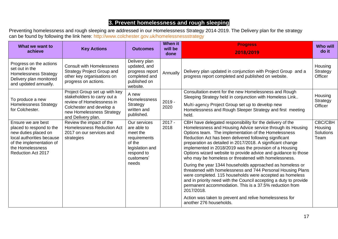#### **3. Prevent homelessness and rough sleeping**

Preventing homelessness and rough sleeping are addressed in our Homelessness Strategy 2014-2019. The Delivery plan for the strategy can be found by following the link here: <http://www.colchester.gov.uk/homelessnessstrategy>

| What we want to<br>achieve                                                                                                                                                                                                                                                                                 | <b>Key Actions</b>                                                                                                                                 | <b>Outcomes</b>                                                                               | <b>When it</b><br>will be<br>done                                                                                                                                                                                                                                                                                                                                                                                                                                                             | <b>Progress</b><br>2018/2019                                                                                                                                                                                                                                                                                                       | <b>Who will</b><br>do it       |
|------------------------------------------------------------------------------------------------------------------------------------------------------------------------------------------------------------------------------------------------------------------------------------------------------------|----------------------------------------------------------------------------------------------------------------------------------------------------|-----------------------------------------------------------------------------------------------|-----------------------------------------------------------------------------------------------------------------------------------------------------------------------------------------------------------------------------------------------------------------------------------------------------------------------------------------------------------------------------------------------------------------------------------------------------------------------------------------------|------------------------------------------------------------------------------------------------------------------------------------------------------------------------------------------------------------------------------------------------------------------------------------------------------------------------------------|--------------------------------|
| Progress on the actions<br>set out in the<br><b>Homelessness Strategy</b><br>Delivery plan monitored<br>and updated annually.                                                                                                                                                                              | <b>Consult with Homelessness</b><br><b>Strategy Project Group and</b><br>other key organisations on<br>progress on actions.                        | Delivery plan<br>updated, and<br>progress report<br>completed and<br>published on<br>website. | Annually                                                                                                                                                                                                                                                                                                                                                                                                                                                                                      | Delivery plan updated in conjunction with Project Group and a<br>progress report completed and published on website.                                                                                                                                                                                                               | Housing<br>Strategy<br>Officer |
| To produce a new<br><b>Homelessness Strategy</b><br>for Colchester.                                                                                                                                                                                                                                        | Project Group set up with key<br>stakeholders to carry out a<br>review of Homelessness in<br>Colchester and develop a<br>new Homelessness Strategy | A new<br>Homelessness<br>Strategy<br>written and<br>published.                                | $2019 -$<br>2020                                                                                                                                                                                                                                                                                                                                                                                                                                                                              | Consultation event for the new Homelessness and Rough<br>Sleeping Strategy held in conjunction with Homeless Link<br>Multi-agency Project Group set up to develop new<br>Homelessness and Rough Sleeper Strategy and first meeting<br>held.                                                                                        | Housing<br>Strategy<br>Officer |
| and Delivery plan.<br>Review the impact of the<br>Ensure we are best<br><b>Homelessness Reduction Act</b><br>placed to respond to the<br>new duties placed on<br>2017 on our services and<br>local authorities because<br>strategies<br>of the implementation of<br>the Homelessness<br>Reduction Act 2017 | Our services<br>are able to<br>meet the<br>requirements<br>of the<br>legislation and<br>respond to<br>customers'                                   | $2017 -$<br>2018                                                                              | CBH have delegated responsibility for the delivery of the<br>Homelessness and Housing Advice service through its Housing<br>Options team. The implementation of the Homelessness<br>Reduction Act has been delivered following significant<br>preparation as detailed in 2017/2018. A significant change<br>implemented in 2018/2019 was the provision of a Housing<br>Options wizard website to provide advice and guidance to those<br>who may be homeless or threatened with homelessness. | CBC/CBH<br>Housing<br>Solutions<br>Team                                                                                                                                                                                                                                                                                            |                                |
|                                                                                                                                                                                                                                                                                                            |                                                                                                                                                    | needs                                                                                         |                                                                                                                                                                                                                                                                                                                                                                                                                                                                                               | During the year 1344 households approached as homeless or<br>threatened with homelessness and 744 Personal Housing Plans<br>were completed. 115 households were accepted as homeless<br>and in priority need with the Council accepting a duty to provide<br>permanent accommodation. This is a 37.5% reduction from<br>2017/2018. |                                |
|                                                                                                                                                                                                                                                                                                            |                                                                                                                                                    |                                                                                               |                                                                                                                                                                                                                                                                                                                                                                                                                                                                                               | Action was taken to prevent and relive homelessness for<br>another 276 households.                                                                                                                                                                                                                                                 |                                |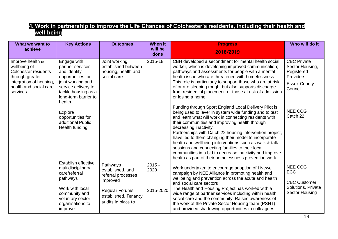#### **4. Work in partnership to improve the Life Chances of Colchester's residents, including their health and well-being**

| What we want to<br>achieve                                                                                                                           | <b>Key Actions</b>                                                                                                                                                         | <b>Outcomes</b>                                                            | When it<br>will be | <b>Progress</b>                                                                                                                                                                                                                                                                                                                                                                                                                                                                                                                                                                                           | Who will do it                                                                                            |
|------------------------------------------------------------------------------------------------------------------------------------------------------|----------------------------------------------------------------------------------------------------------------------------------------------------------------------------|----------------------------------------------------------------------------|--------------------|-----------------------------------------------------------------------------------------------------------------------------------------------------------------------------------------------------------------------------------------------------------------------------------------------------------------------------------------------------------------------------------------------------------------------------------------------------------------------------------------------------------------------------------------------------------------------------------------------------------|-----------------------------------------------------------------------------------------------------------|
|                                                                                                                                                      |                                                                                                                                                                            |                                                                            | done               | 2018/2019                                                                                                                                                                                                                                                                                                                                                                                                                                                                                                                                                                                                 |                                                                                                           |
| Improve health &<br>wellbeing of<br><b>Colchester residents</b><br>through greater<br>integration of housing,<br>health and social care<br>services. | Engage with<br>partner services<br>and identify<br>opportunities for<br>joint working and<br>service delivery to<br>tackle housing as a<br>long-term barrier to<br>health. | Joint working<br>established between<br>housing, health and<br>social care | 2015-18            | CBH developed a secondment for mental health social<br>worker, which is developing improved communication;<br>pathways and assessments for people with a mental<br>health issue who are threatened with homelessness.<br>This role is particularly to support those who are at risk<br>of or are sleeping rough; but also supports discharge<br>from residential placement; or those at risk of admission<br>or losing a home.                                                                                                                                                                            | <b>CBC Private</b><br>Sector Housing,<br>Registered<br><b>Providers</b><br><b>Essex County</b><br>Council |
|                                                                                                                                                      | <b>Explore</b><br>opportunities for<br>additional Public<br>Health funding.                                                                                                |                                                                            |                    | Funding through Sport England Local Delivery Pilot is<br>being used to lever in system wide funding and to test<br>and learn what will work in connecting residents with<br>their communities and improving health through<br>decreasing inactivity.<br>Partnerships with Catch 22 housing intervention project,<br>have led to them changing their model to incorporate<br>health and wellbeing interventions such as walk & talk<br>sessions and connecting families to their local<br>communities in a bid to decrease inactivity and improve<br>health as part of their homelessness prevention work. | <b>NEE CCG</b><br>Catch 22                                                                                |
|                                                                                                                                                      | Establish effective<br>multidisciplinary<br>care/referral<br>pathways                                                                                                      | Pathways<br>established, and<br>referral processes<br>improved             | $2015 -$<br>2020   | Work undertaken to encourage adoption of Livewell<br>campaign by NEE Alliance in promoting health and<br>wellbeing and prevention across the acute and health                                                                                                                                                                                                                                                                                                                                                                                                                                             | <b>NEE CCG</b><br><b>ECC</b>                                                                              |
|                                                                                                                                                      | Work with local<br>community and<br>voluntary sector<br>organisations to<br>improve                                                                                        | <b>Regular Forums</b><br>established, Tenancy<br>audits in place to        | 2015-2020          | and social care sectors<br>The Health and Housing Project has worked with a<br>wide range of partner services including within health,<br>social care and the community. Raised awareness of<br>the work of the Private Sector Housing team (PSHT)<br>and provided shadowing opportunities to colleagues                                                                                                                                                                                                                                                                                                  | <b>CBC Customer</b><br>Solutions, Private<br>Sector Housing                                               |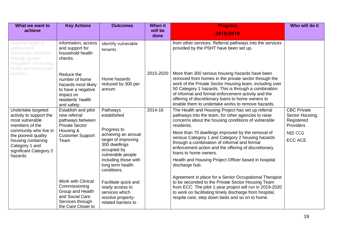| What we want to<br>achieve                                                                                                              | <b>Key Actions</b>                                                                                                         | <b>Outcomes</b>                                                                                                | <b>When it</b><br>will be<br>done | <b>Progress</b><br>2018/2019                                                                                                                                                                                                                                                                                                                                                                | Who will do it                                                          |
|-----------------------------------------------------------------------------------------------------------------------------------------|----------------------------------------------------------------------------------------------------------------------------|----------------------------------------------------------------------------------------------------------------|-----------------------------------|---------------------------------------------------------------------------------------------------------------------------------------------------------------------------------------------------------------------------------------------------------------------------------------------------------------------------------------------------------------------------------------------|-------------------------------------------------------------------------|
| Improve health &<br>wellbeing of<br><b>Colchester residents</b><br>through greater<br>integration of housing,<br>health and social care | information, access<br>and support for<br>household health<br>checks.                                                      | identify vulnerable<br>tenants                                                                                 |                                   | from other services. Referral pathways into the services<br>provided by the PSHT have been set up.                                                                                                                                                                                                                                                                                          |                                                                         |
| services.                                                                                                                               | Reduce the<br>number of home<br>hazards most likely<br>to have a negative<br>impact on<br>residents' health<br>and safety. | Home hazards<br>reduced by 300 per<br>annum                                                                    | 2015-2020                         | More than 300 serious housing hazards have been<br>removed from homes in the private sector through the<br>work of the Private Sector Housing team, including over<br>50 Category 1 hazards. This is through a combination<br>of informal and formal enforcement activity and the<br>offering of discretionary loans to home owners to<br>enable them to undertake works to remove hazards. |                                                                         |
| Undertake targeted<br>activity to support the<br>most vulnerable<br>members of the                                                      | Establish and pilot<br>new referral<br>pathways between<br><b>Private Sector</b>                                           | Pathways<br>established                                                                                        | 2014-16                           | The Health and Housing Project has set up referral<br>pathways into the team, for other agencies to raise<br>concerns about the housing conditions of vulnerable<br>residents.                                                                                                                                                                                                              | <b>CBC Private</b><br>Sector Housing,<br>Registered<br><b>Providers</b> |
| community who live in<br>the poorest quality<br>housing containing<br>Category 1 and<br>significant Category 2<br>hazards               | Housing &<br><b>Customer Support</b><br>Team                                                                               | Progress to<br>achieving an annual<br>target of improving<br>300 dwellings<br>occupied by<br>vulnerable people |                                   | More than 70 dwellings improved by the removal of<br>serious Category 1 and Category 2 housing hazards<br>through a combination of informal and formal<br>enforcement action and the offering of discretionary<br>loans to home owners.                                                                                                                                                     | <b>NEE CCG</b><br><b>ECC ACE</b>                                        |
|                                                                                                                                         |                                                                                                                            | including those with<br>long term health<br>conditions.                                                        |                                   | Health and Housing Project Officer based in hospital<br>discharge hub.                                                                                                                                                                                                                                                                                                                      |                                                                         |
|                                                                                                                                         | Work with Clinical<br>Commissioning<br>Group and Health<br>and Social Care<br>Services through<br>the Care Closer to       | Facilitate quick and<br>ready access to<br>services which<br>resolve property-<br>related barriers to          |                                   | Agreement in place for a Senior Occupational Therapist<br>to be seconded to the Private Sector Housing Team<br>from ECC. The pilot 1-year project will run in 2019-2020<br>to work on facilitating timely discharge from hospital,<br>respite care, step down beds and so on to home.                                                                                                       |                                                                         |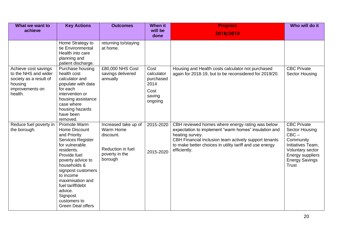| What we want to<br>achieve                                                                                      | <b>Key Actions</b>                                                                                                                                                                                                                                                                                    | <b>Outcomes</b>                                                                                  | <b>When it</b><br>will be                                            | <b>Progress</b><br>2018/2019                                                                                                                                                                                                                                    | Who will do it                                                                                                                                                     |
|-----------------------------------------------------------------------------------------------------------------|-------------------------------------------------------------------------------------------------------------------------------------------------------------------------------------------------------------------------------------------------------------------------------------------------------|--------------------------------------------------------------------------------------------------|----------------------------------------------------------------------|-----------------------------------------------------------------------------------------------------------------------------------------------------------------------------------------------------------------------------------------------------------------|--------------------------------------------------------------------------------------------------------------------------------------------------------------------|
|                                                                                                                 | Home Strategy to<br>tie Environmental<br>Health into care<br>planning and<br>patient discharge.                                                                                                                                                                                                       | returning to/staying<br>at home.                                                                 | done                                                                 |                                                                                                                                                                                                                                                                 |                                                                                                                                                                    |
| Achieve cost savings<br>to the NHS and wider<br>society as a result of<br>housing<br>improvements on<br>health. | Purchase housing<br>health cost<br>calculator and<br>populate with data<br>for each<br>intervention or<br>housing assistance<br>case where<br>housing hazards<br>have been<br>removed.                                                                                                                | £80,000 NHS Cost<br>savings delivered<br>annually                                                | Cost<br>calculator<br>purchased<br>2014<br>Cost<br>saving<br>ongoing | Housing and Health costs calculator not purchased<br>again for 2018-19, but to be reconsidered for 2019/20.                                                                                                                                                     | <b>CBC Private</b><br>Sector Housing                                                                                                                               |
| Reduce fuel poverty in<br>the borough.                                                                          | Promote Warm<br>Home Discount<br>and Priority<br>Services Register<br>for vulnerable<br>residents.<br>Provide fuel<br>poverty advice to<br>households &<br>signpost customers<br>to income<br>maximisation and<br>fuel tariff/debt<br>advice.<br>Signpost<br>customers to<br><b>Green Deal offers</b> | Increased take up of<br>Warm Home<br>discount.<br>Reduction in fuel<br>poverty in the<br>borough | 2015-2020<br>2015-2020                                               | CBH reviewed homes where energy rating was below<br>expectation to implement "warm homes" insulation and<br>heating survey.<br>CBH Financial Inclusion team actively support tenants<br>to make better choices in utility tariff and use energy<br>efficiently. | <b>CBC</b> Private<br><b>Sector Housing</b><br>$CBC -$<br>Community<br>Initiatives Team,<br>Voluntary sector<br>Energy suppliers<br><b>Energy Savings</b><br>Trust |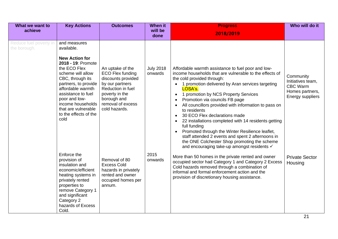| What we want to<br>achieve             | <b>Key Actions</b>                                                                                                                                                                                                                                                                                  | <b>Outcomes</b>                                                                                                                                                                  | <b>When it</b><br>will be<br>done | <b>Progress</b><br>2018/2019                                                                                                                                                                                                                                                                                                                                                                                                                                                                                                                                                                                                                                                                                                     | Who will do it                                                                           |
|----------------------------------------|-----------------------------------------------------------------------------------------------------------------------------------------------------------------------------------------------------------------------------------------------------------------------------------------------------|----------------------------------------------------------------------------------------------------------------------------------------------------------------------------------|-----------------------------------|----------------------------------------------------------------------------------------------------------------------------------------------------------------------------------------------------------------------------------------------------------------------------------------------------------------------------------------------------------------------------------------------------------------------------------------------------------------------------------------------------------------------------------------------------------------------------------------------------------------------------------------------------------------------------------------------------------------------------------|------------------------------------------------------------------------------------------|
| Reduce fuel poverty in<br>the borough. | and measures<br>available.<br><b>New Action for</b><br>2018 - 19: Promote<br>the ECO Flex<br>scheme will allow<br>CBC, through its<br>partners, to provide<br>affordable warmth<br>assistance to fuel<br>poor and low-<br>income households<br>that are vulnerable<br>to the effects of the<br>cold | An uptake of the<br><b>ECO Flex funding</b><br>discounts provided<br>by our partners<br>Reduction in fuel<br>poverty in the<br>borough and<br>removal of excess<br>cold hazards. | <b>July 2018</b><br>onwards       | Affordable warmth assistance to fuel poor and low-<br>income households that are vulnerable to the effects of<br>the cold provided through:<br>1 promotion delivered by Aran services targeting<br>LOSA's.<br>1 promotion by NCS Property Services<br>$\bullet$<br>Promotion via councils FB page<br>$\bullet$<br>All councillors provided with information to pass on<br>$\bullet$<br>to residents<br>30 ECO Flex declarations made<br>$\bullet$<br>22 installations completed with 14 residents getting<br>full funding<br>Promoted through the Winter Resilience leaflet,<br>staff attended 2 events and spent 2 afternoons in<br>the ONE Colchester Shop promoting the scheme<br>and encouraging take-up amongst residents √ | Community<br>Initiatives team,<br><b>CBC Warm</b><br>Homes partners,<br>Energy suppliers |
|                                        | Enforce the<br>provision of<br>insulation and<br>economic/efficient<br>heating systems in<br>privately rented<br>properties to<br>remove Category 1<br>and significant<br>Category 2<br>hazards of Excess<br>Cold.                                                                                  | Removal of 80<br><b>Excess Cold</b><br>hazards in privately<br>rented and owner<br>occupied homes per<br>annum.                                                                  | 2015<br>onwards                   | More than 50 homes in the private rented and owner<br>occupied sector had Category 1 and Category 2 Excess<br>Cold hazards removed through a combination of<br>informal and formal enforcement action and the<br>provision of discretionary housing assistance.                                                                                                                                                                                                                                                                                                                                                                                                                                                                  | <b>Private Sector</b><br>Housing                                                         |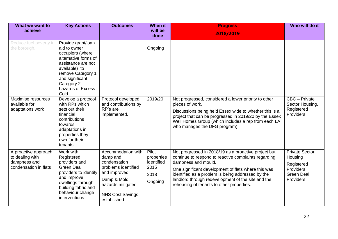| What we want to<br>achieve                                                       | <b>Key Actions</b>                                                                                                                                                                                       | <b>Outcomes</b>                                                                                                                                                      | <b>When it</b><br>will be<br>done                            | <b>Progress</b><br>2018/2019                                                                                                                                                                                                                                                                                                                       | Who will do it                                                                                       |
|----------------------------------------------------------------------------------|----------------------------------------------------------------------------------------------------------------------------------------------------------------------------------------------------------|----------------------------------------------------------------------------------------------------------------------------------------------------------------------|--------------------------------------------------------------|----------------------------------------------------------------------------------------------------------------------------------------------------------------------------------------------------------------------------------------------------------------------------------------------------------------------------------------------------|------------------------------------------------------------------------------------------------------|
| Reduce fuel poverty in<br>the borough.                                           | Provide grant/loan<br>aid to owner<br>occupiers (where<br>alternative forms of<br>assistance are not<br>available) to<br>remove Category 1<br>and significant<br>Category 2<br>hazards of Excess<br>Cold |                                                                                                                                                                      | Ongoing                                                      |                                                                                                                                                                                                                                                                                                                                                    |                                                                                                      |
| Maximise resources<br>available for<br>adaptations work                          | Develop a protocol<br>with RPs which<br>sets out their<br>financial<br>contributions<br>towards<br>adaptations in<br>properties they<br>own for their<br>tenants.                                        | Protocol developed<br>and contributions by<br>RP's are<br>implemented.                                                                                               | 2019/20                                                      | Not progressed, considered a lower priority to other<br>pieces of work.<br>Discussions being held Essex wide to whether this is a<br>project that can be progressed in 2019/20 by the Essex<br>Well Homes Group (which includes a rep from each LA<br>who manages the DFG program)                                                                 | CBC - Private<br>Sector Housing,<br>Registered<br><b>Providers</b>                                   |
| A proactive approach<br>to dealing with<br>dampness and<br>condensation in flats | Work with<br>Registered<br>providers and<br><b>Green Deal</b><br>providers to identify<br>and improve<br>dwellings through<br>building fabric and<br>behaviour change<br>interventions                   | Accommodation with<br>damp and<br>condensation<br>problems identified<br>and improved.<br>Damp & Mold<br>hazards mitigated<br><b>NHS Cost Savings</b><br>established | Pilot<br>properties<br>identified<br>2015<br>2018<br>Ongoing | Not progressed in 2018/19 as a proactive project but<br>continue to respond to reactive complaints regarding<br>dampness and mould.<br>One significant development of flats where this was<br>identified as a problem is being addressed by the<br>landlord through redevelopment of the site and the<br>rehousing of tenants to other properties. | <b>Private Sector</b><br>Housing<br>Registered<br><b>Providers</b><br><b>Green Deal</b><br>Providers |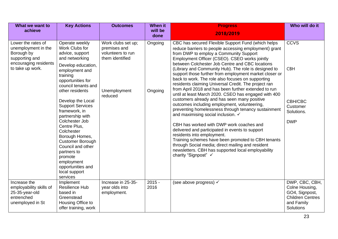| What we want to<br>achieve                                                                                             | <b>Key Actions</b>                                                                                                                                                                                                                                                                                                                                                                                                                                                                        | <b>Outcomes</b>                                                                                       | <b>When it</b><br>will be<br>done | <b>Progress</b><br>2018/2019                                                                                                                                                                                                                                                                                                                                                                                                                                                                                                                                                                                                                                                                                                                                                                                                                                                                                                                                                                                                                                                                                                | Who will do it                                                                                                  |
|------------------------------------------------------------------------------------------------------------------------|-------------------------------------------------------------------------------------------------------------------------------------------------------------------------------------------------------------------------------------------------------------------------------------------------------------------------------------------------------------------------------------------------------------------------------------------------------------------------------------------|-------------------------------------------------------------------------------------------------------|-----------------------------------|-----------------------------------------------------------------------------------------------------------------------------------------------------------------------------------------------------------------------------------------------------------------------------------------------------------------------------------------------------------------------------------------------------------------------------------------------------------------------------------------------------------------------------------------------------------------------------------------------------------------------------------------------------------------------------------------------------------------------------------------------------------------------------------------------------------------------------------------------------------------------------------------------------------------------------------------------------------------------------------------------------------------------------------------------------------------------------------------------------------------------------|-----------------------------------------------------------------------------------------------------------------|
| Lower the rates of<br>unemployment in the<br>Borough by<br>supporting and<br>encouraging residents<br>to take up work. | Operate weekly<br>Work Clubs for<br>advice, support<br>and networking<br>Develop education,<br>employment and<br>training<br>opportunities for<br>council tenants and<br>other residents<br>Develop the Local<br><b>Support Services</b><br>framework, in<br>partnership with<br>Colchester Job<br>Centre Plus,<br>Colchester<br>Borough Homes,<br><b>Customer Borough</b><br>Council and other<br>partners to<br>promote<br>employment<br>opportunities and<br>local support<br>services | Work clubs set up;<br>premises and<br>volunteers to run<br>them identified<br>Unemployment<br>reduced | Ongoing<br>Ongoing                | CBC has secured Flexible Support Fund (which helps<br>reduce barriers to people accessing employment) grant<br>from DWP to employ a Community Support<br>Employment Officer (CSEO). CSEO works jointly<br>between Colchester Job Centre and CBC locations<br>(Library and Community Hub). The role is designed to<br>support those further from employment market closer or<br>back to work. The role also focuses on supporting<br>residents claiming Universal Credit. The project ran<br>from April 2018 and has been further extended to run<br>until at least March 2020. CSEO has engaged with 400<br>customers already and has seen many positive<br>outcomes including employment, volunteering,<br>preventing homelessness through tenancy sustainment<br>and maximising social inclusion. ✓<br>CBH has worked with DWP work coaches and<br>delivered and participated in events to support<br>residents into employment.<br>Training schemes have been promoted to CBH tenants<br>through Social media; direct mailing and resident<br>newsletters. CBH has supported local employability<br>charity "Signpost" √ | <b>CCVS</b><br><b>CBH</b><br>CBH/CBC<br>Customer<br>Solutions.<br><b>DWP</b>                                    |
| Increase the<br>employability skills of<br>25-35-year-old<br>entrenched<br>unemployed in St                            | Implement<br><b>Resilience Hub</b><br>based in<br>Greenstead<br>Housing Office to<br>offer training, work                                                                                                                                                                                                                                                                                                                                                                                 | Increase in 25-35-<br>year olds into<br>employment.                                                   | $2015 -$<br>2016                  | (see above progress) √                                                                                                                                                                                                                                                                                                                                                                                                                                                                                                                                                                                                                                                                                                                                                                                                                                                                                                                                                                                                                                                                                                      | DWP, CBC, CBH,<br>Colne Housing,<br>GO4, Signpost,<br><b>Children Centres</b><br>and Family<br><b>Solutions</b> |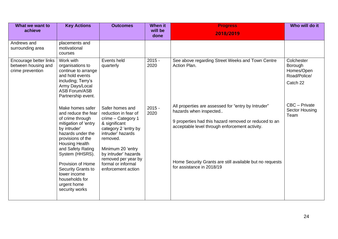| What we want to<br>achieve                                        | <b>Key Actions</b>                                                                                                                                                                                                                                                                                                                  | <b>Outcomes</b>                                                                                                                                                                                                                                         | <b>When it</b><br>will be<br>done | <b>Progress</b><br>2018/2019                                                                                                                                                                                                                                                      | Who will do it                                                  |
|-------------------------------------------------------------------|-------------------------------------------------------------------------------------------------------------------------------------------------------------------------------------------------------------------------------------------------------------------------------------------------------------------------------------|---------------------------------------------------------------------------------------------------------------------------------------------------------------------------------------------------------------------------------------------------------|-----------------------------------|-----------------------------------------------------------------------------------------------------------------------------------------------------------------------------------------------------------------------------------------------------------------------------------|-----------------------------------------------------------------|
| Andrews and<br>surrounding area                                   | placements and<br>motivational<br>courses                                                                                                                                                                                                                                                                                           |                                                                                                                                                                                                                                                         |                                   |                                                                                                                                                                                                                                                                                   |                                                                 |
| Encourage better links<br>between housing and<br>crime prevention | Work with<br>organisations to<br>continue to arrange<br>and hold events<br>including; Terry's<br>Army Days/Local<br><b>ASB Forum/ASB</b><br>Partnership event.                                                                                                                                                                      | Events held<br>quarterly                                                                                                                                                                                                                                | $2015 -$<br>2020                  | See above regarding Street Weeks and Town Centre<br>Action Plan.                                                                                                                                                                                                                  | Colchester<br>Borough<br>Homes/Open<br>Road/Police/<br>Catch 22 |
|                                                                   | Make homes safer<br>and reduce the fear<br>of crime through<br>mitigation of 'entry<br>by intruder'<br>hazards under the<br>provisions of the<br><b>Housing Health</b><br>and Safety Rating<br>System (HHSRS).<br>Provision of Home<br><b>Security Grants to</b><br>lower income<br>households for<br>urgent home<br>security works | Safer homes and<br>reduction in fear of<br>crime - Category 1<br>& significant<br>category 2 'entry by<br>intruder' hazards<br>removed.<br>Minimum 20 'entry<br>by intruder' hazards<br>removed per year by<br>formal or informal<br>enforcement action | $2015 -$<br>2020                  | All properties are assessed for "entry by Intruder"<br>hazards when inspected<br>9 properties had this hazard removed or reduced to an<br>acceptable level through enforcement activity.<br>Home Security Grants are still available but no requests<br>for assistance in 2018/19 | CBC - Private<br>Sector Housing<br>Team                         |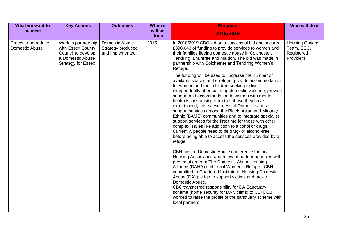| What we want to<br>achieve           | <b>Key Actions</b>                                                                                              | <b>Outcomes</b>                                        | When it<br>will be | <b>Progress</b>                                                                                                                                                                                                                                                                                                                                                                                                                                                                                                                                                                                                                                                                                                                                                                                                                                                                                                                                                                                                                                                                                                                                                                                                                                                                                                                                                                                                                                                                                                                                                              | Who will do it                                                  |
|--------------------------------------|-----------------------------------------------------------------------------------------------------------------|--------------------------------------------------------|--------------------|------------------------------------------------------------------------------------------------------------------------------------------------------------------------------------------------------------------------------------------------------------------------------------------------------------------------------------------------------------------------------------------------------------------------------------------------------------------------------------------------------------------------------------------------------------------------------------------------------------------------------------------------------------------------------------------------------------------------------------------------------------------------------------------------------------------------------------------------------------------------------------------------------------------------------------------------------------------------------------------------------------------------------------------------------------------------------------------------------------------------------------------------------------------------------------------------------------------------------------------------------------------------------------------------------------------------------------------------------------------------------------------------------------------------------------------------------------------------------------------------------------------------------------------------------------------------------|-----------------------------------------------------------------|
|                                      |                                                                                                                 |                                                        | done               | 2018/2019                                                                                                                                                                                                                                                                                                                                                                                                                                                                                                                                                                                                                                                                                                                                                                                                                                                                                                                                                                                                                                                                                                                                                                                                                                                                                                                                                                                                                                                                                                                                                                    |                                                                 |
| Prevent and reduce<br>Domestic Abuse | Work in partnership<br>with Essex County<br>Council to develop<br>a Domestic Abuse<br><b>Strategy for Essex</b> | Domestic Abuse<br>Strategy produced<br>and implemented | 2015               | In 2018/2019 CBC led on a successful bid and secured<br>£398,643 of funding to provide services to women and<br>their families fleeing domestic abuse in Colchester,<br>Tendring, Braintree and Maldon. The bid was made in<br>partnership with Colchester and Tendring Women's<br>Refuge.<br>The funding will be used to iincrease the number of<br>available spaces at the refuge, provide accommodation<br>for women and their children seeking to live<br>independently after suffering domestic violence, provide<br>support and accommodation to women with mental<br>health issues arising from the abuse they have<br>experienced, raise awareness of Domestic abuse<br>support services among the Black, Asian and Minority<br>Ethnic (BAME) communities and to integrate specialist<br>support services for the first time for those with other<br>complex issues like addiction to alcohol or drugs.<br>Currently, people need to be drug- or alcohol-free<br>before being able to access the services provided by a<br>refuge.<br>CBH hosted Domestic Abuse conference for local<br>Housing Association and relevant partner agencies with<br>presentation from The Domestic Abuse Housing<br>Alliance (DAHA) and Local Women's Refuge. CBH<br>committed to Chartered Institute of Housing Domestic<br>Abuse (DA) pledge to support victims and tackle<br>Domestic Abuse.<br>CBC transferred responsibility for DA Sanctuary<br>scheme (home security for DA victims) to CBH. CBH<br>worked to raise the profile of the sanctuary scheme with<br>local partners. | <b>Housing Options</b><br>Team, ECC,<br>Registered<br>Providers |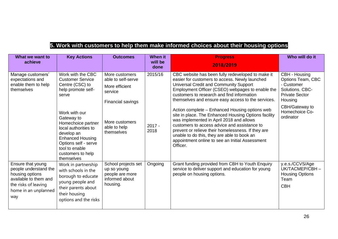#### **5. Work with customers to help them make informed choices about their housing options**

| What we want to<br>achieve                                                                                                                    | <b>Key Actions</b>                                                                                                                                                                                                                                                                                | <b>Outcomes</b>                                                                                                                        | <b>When it</b><br>will be<br>done | <b>Progress</b><br>2018/2019                                                                                                                                                                                                                                                                                                                                                                                                                                                                                                                                                                                                                                                    | Who will do it                                                                                                                                           |
|-----------------------------------------------------------------------------------------------------------------------------------------------|---------------------------------------------------------------------------------------------------------------------------------------------------------------------------------------------------------------------------------------------------------------------------------------------------|----------------------------------------------------------------------------------------------------------------------------------------|-----------------------------------|---------------------------------------------------------------------------------------------------------------------------------------------------------------------------------------------------------------------------------------------------------------------------------------------------------------------------------------------------------------------------------------------------------------------------------------------------------------------------------------------------------------------------------------------------------------------------------------------------------------------------------------------------------------------------------|----------------------------------------------------------------------------------------------------------------------------------------------------------|
| Manage customers'<br>expectations and<br>enable them to help<br>themselves                                                                    | Work with the CBC<br><b>Customer Service</b><br>Centre (CSC) to<br>help promote self-<br>serve<br>Work with our<br>Gateway to<br>Homechoice partner<br>local authorities to<br>develop an<br><b>Enhanced Housing</b><br>Options self - serve<br>tool to enable<br>customers to help<br>themselves | More customers<br>able to self-serve<br>More efficient<br>service<br>Financial savings<br>More customers<br>able to help<br>themselves | 2015/16<br>$2017 -$<br>2018       | CBC website has been fully redeveloped to make it<br>easier for customers to access. Newly launched<br>Universal Credit and Community Support<br>Employment Officer (CSEO) webpages to enable the<br>customers to research and find information<br>themselves and ensure easy access to the services.<br>Action complete - Enhanced Housing options web<br>site in place. The Enhanced Housing Options facility<br>was implemented in April 2018 and allows<br>customers to access advice and assistance to<br>prevent or relieve their homelessness. If they are<br>unable to do this, they are able to book an<br>appointment online to see an Initial Assessment<br>Officer. | CBH - Housing<br>Options Team, CBC<br>- Customer<br>Solutions, CBC-<br><b>Private Sector</b><br>Housing<br>CBH/Gateway to<br>Homechoice Co-<br>ordinator |
| Ensure that young<br>people understand the<br>housing options<br>available to them and<br>the risks of leaving<br>home in an unplanned<br>way | Work in partnership<br>with schools in the<br>borough to educate<br>young people and<br>their parents about<br>their housing<br>options and the risks                                                                                                                                             | School projects set<br>up so young<br>people are more<br>informed about<br>housing.                                                    | Ongoing                           | Grant funding provided from CBH to Youth Enquiry<br>service to deliver support and education for young<br>people on housing options.                                                                                                                                                                                                                                                                                                                                                                                                                                                                                                                                            | y.e.s./CCVS/Age<br>UK/TACMEP/CBH-<br><b>Housing Options</b><br>Team<br><b>CBH</b>                                                                        |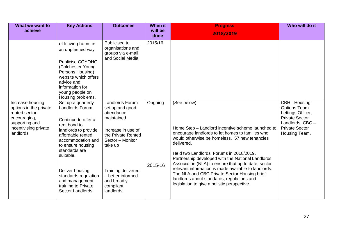| What we want to<br>achieve                                                                                                          | <b>Key Actions</b>                                                                                                                                                                                                                                                                                         | <b>Outcomes</b>                                                                                                                                                                                                                | When it<br>will be<br>done | <b>Progress</b><br>2018/2019                                                                                                                                                                                                                                                                                                                                                                                                                                                                                                                     | Who will do it                                                                                                                                   |
|-------------------------------------------------------------------------------------------------------------------------------------|------------------------------------------------------------------------------------------------------------------------------------------------------------------------------------------------------------------------------------------------------------------------------------------------------------|--------------------------------------------------------------------------------------------------------------------------------------------------------------------------------------------------------------------------------|----------------------------|--------------------------------------------------------------------------------------------------------------------------------------------------------------------------------------------------------------------------------------------------------------------------------------------------------------------------------------------------------------------------------------------------------------------------------------------------------------------------------------------------------------------------------------------------|--------------------------------------------------------------------------------------------------------------------------------------------------|
|                                                                                                                                     | of leaving home in<br>an unplanned way.<br>Publicise COYOHO<br>(Colchester Young<br>Persons Housing)<br>website which offers<br>advice and<br>information for<br>young people on<br>Housing problems.                                                                                                      | Publicised to<br>organisations and<br>groups via e-mail<br>and Social Media                                                                                                                                                    | 2015/16                    |                                                                                                                                                                                                                                                                                                                                                                                                                                                                                                                                                  |                                                                                                                                                  |
| Increase housing<br>options in the private<br>rented sector<br>encouraging,<br>supporting and<br>incentivising private<br>landlords | Set up a quarterly<br>Landlords Forum<br>Continue to offer a<br>rent bond to<br>landlords to provide<br>affordable rented<br>accommodation and<br>to ensure housing<br>standards are<br>suitable.<br>Deliver housing<br>standards regulation<br>and management<br>training to Private<br>Sector Landlords. | Landlords Forum<br>set up and good<br>attendance<br>maintained<br>Increase in use of<br>the Private Rented<br>Sector - Monitor<br>take up<br>Training delivered<br>- better informed<br>and broadly<br>compliant<br>landlords. | Ongoing<br>2015-16         | (See below)<br>Home Step - Landlord incentive scheme launched to<br>encourage landlords to let homes to families who<br>would otherwise be homeless. 57 new tenancies<br>delivered.<br>Held two Landlords' Forums in 2018/2019.<br>Partnership developed with the National Landlords<br>Association (NLA) to ensure that up to date, sector<br>relevant information is made available to landlords.<br>The NLA and CBC Private Sector Housing brief<br>landlords about standards, regulations and<br>legislation to give a holistic perspective. | CBH - Housing<br><b>Options Team</b><br>Lettings Officer,<br><b>Private Sector</b><br>Landlords, CBC -<br><b>Private Sector</b><br>Housing Team. |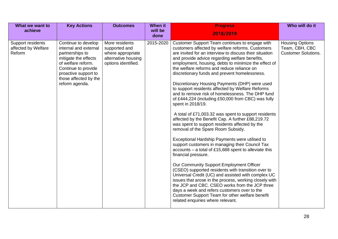| What we want to<br>achieve                         | <b>Key Actions</b>                                                                                                                                                                                      | <b>Outcomes</b>                                                                                    | <b>When it</b><br>will be | <b>Progress</b>                                                                                                                                                                                                                                                                                                                                                                                                                                                                                                                                                                                                                                                                                                                                                                                                                                                                                                                                                                                                                                                                                                                                                                                                                                                                                                                                                                                                     | Who will do it                                                         |
|----------------------------------------------------|---------------------------------------------------------------------------------------------------------------------------------------------------------------------------------------------------------|----------------------------------------------------------------------------------------------------|---------------------------|---------------------------------------------------------------------------------------------------------------------------------------------------------------------------------------------------------------------------------------------------------------------------------------------------------------------------------------------------------------------------------------------------------------------------------------------------------------------------------------------------------------------------------------------------------------------------------------------------------------------------------------------------------------------------------------------------------------------------------------------------------------------------------------------------------------------------------------------------------------------------------------------------------------------------------------------------------------------------------------------------------------------------------------------------------------------------------------------------------------------------------------------------------------------------------------------------------------------------------------------------------------------------------------------------------------------------------------------------------------------------------------------------------------------|------------------------------------------------------------------------|
|                                                    |                                                                                                                                                                                                         |                                                                                                    | done                      | 2018/2019                                                                                                                                                                                                                                                                                                                                                                                                                                                                                                                                                                                                                                                                                                                                                                                                                                                                                                                                                                                                                                                                                                                                                                                                                                                                                                                                                                                                           |                                                                        |
| Support residents<br>affected by Welfare<br>Reform | Continue to develop<br>internal and external<br>partnerships to<br>mitigate the effects<br>of welfare reform.<br>Continue to provide<br>proactive support to<br>those affected by the<br>reform agenda. | More residents<br>supported and<br>where appropriate<br>alternative housing<br>options identified. | 2015-2020                 | Customer Support Team continues to engage with<br>customers affected by welfare reforms. Customers<br>are invited for an interview to discuss their situation<br>and provide advice regarding welfare benefits,<br>employment, housing, debts to minimize the effect of<br>the welfare reforms and reduce reliance on<br>discretionary funds and prevent homelessness.<br>Discretionary Housing Payments (DHP) were used<br>to support residents affected by Welfare Reforms<br>and to remove risk of homelessness. The DHP fund<br>of £444,224 (including £50,000 from CBC) was fully<br>spent in 2018/19.<br>A total of £71,003.32 was spent to support residents<br>affected by the Benefit Cap. A further £88,219.72<br>was spent to support residents affected by the<br>removal of the Spare Room Subsidy.<br>Exceptional Hardship Payments were utilised to<br>support customers in managing their Council Tax<br>$accounts - a total of £15,688 spent to alleviate this$<br>financial pressure.<br>Our Community Support Employment Officer<br>(CSEO) supported residents with transition over to<br>Universal Credit (UC) and assisted with complex UC<br>issues that arose in the process, working closely with<br>the JCP and CBC. CSEO works from the JCP three<br>days a week and refers customers over to the<br>Customer Support Team for other welfare benefit<br>related enquiries where relevant. | <b>Housing Options</b><br>Team, CBH, CBC<br><b>Customer Solutions.</b> |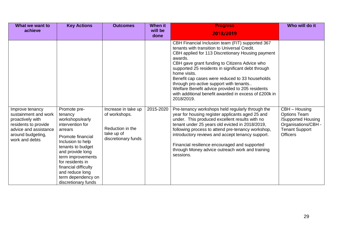| What we want to                                                                                                                                     | <b>Key Actions</b>                                                                                                                                                                                                                                                                            | <b>Outcomes</b>                                                                               | <b>When it</b>  | <b>Progress</b>                                                                                                                                                                                                                                                                                                                                                                                                                                                                                                  | Who will do it                                                                                                                |
|-----------------------------------------------------------------------------------------------------------------------------------------------------|-----------------------------------------------------------------------------------------------------------------------------------------------------------------------------------------------------------------------------------------------------------------------------------------------|-----------------------------------------------------------------------------------------------|-----------------|------------------------------------------------------------------------------------------------------------------------------------------------------------------------------------------------------------------------------------------------------------------------------------------------------------------------------------------------------------------------------------------------------------------------------------------------------------------------------------------------------------------|-------------------------------------------------------------------------------------------------------------------------------|
| achieve                                                                                                                                             |                                                                                                                                                                                                                                                                                               |                                                                                               | will be<br>done | 2018/2019                                                                                                                                                                                                                                                                                                                                                                                                                                                                                                        |                                                                                                                               |
|                                                                                                                                                     |                                                                                                                                                                                                                                                                                               |                                                                                               |                 | CBH Financial Inclusion team (FIT) supported 367<br>tenants with transition to Universal Credit.<br>CBH applied for 113 Discretionary Housing payment<br>awards.<br>CBH gave grant funding to Citizens Advice who<br>supported 25 residents in significant debt through<br>home visits.<br>Benefit cap cases were reduced to 33 households<br>through pro-active support with tenants<br>Welfare Benefit advice provided to 205 residents<br>with additional benefit awarded in excess of £200k in<br>2018/2019. |                                                                                                                               |
| Improve tenancy<br>sustainment and work<br>proactively with<br>residents to provide<br>advice and assistance<br>around budgeting,<br>work and debts | Promote pre-<br>tenancy<br>workshops/early<br>intervention for<br>arrears<br>Promote financial<br>Inclusion to help<br>tenants to budget<br>and provide long<br>term improvements<br>for residents in<br>financial difficulty<br>and reduce long<br>term dependency on<br>discretionary funds | Increase in take up<br>of workshops.<br>Reduction in the<br>take up of<br>discretionary funds | 2015-2020       | Pre-tenancy workshops held regularly through the<br>year for housing register applicants aged 25 and<br>under. This produced excellent results with no<br>tenant under 25 years old evicted in 2018/2019,<br>following process to attend pre-tenancy workshop,<br>introductory reviews and accept tenancy support.<br>Financial resilience encouraged and supported<br>through Money advice outreach work and training<br>sessions.                                                                              | CBH - Housing<br><b>Options Team</b><br>/Supported Housing<br>Organisations/CBH -<br><b>Tenant Support</b><br><b>Officers</b> |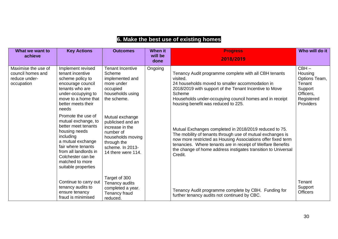#### **What we want to achieve Key Actions Outcomes When it will be done Progress 2018/2019 Who will do it** Maximise the use of council homes and reduce underoccupation Implement revised tenant incentive scheme policy to encourage council tenants who are under-occupying to move to a home that better meets their needs Promote the use of mutual exchange, to better meet tenants housing needs including a mutual exchange fair where tenants from all landlords in Colchester can be matched to more suitable properties Continue to carry out tenancy audits to ensure tenancy fraud is minimised Tenant Incentive Scheme implemented and more under occupied households using the scheme. Mutual exchange publicised and an increase in the number of households moving through the scheme. In 2013- 14 there were 114. Target of 300 Tenancy audits completed a year. Tenancy fraud reduced. Ongoing Tenancy Audit programme complete with all CBH tenants visited. 24 households moved to smaller accommodation in 2018/2019 with support of the Tenant Incentive to Move Scheme Households under-occupying council homes and in receipt housing benefit was reduced to 225. Mutual Exchanges completed in 2018/2019 reduced to 75. The mobility of tenants through use of mutual exchanges is now more restricted as Housing Associations offer fixed term tenancies. Where tenants are in receipt of Welfare Benefits the change of home address instigates transition to Universal Credit. Tenancy Audit programme complete by CBH. Funding for further tenancy audits not continued by CBC.  $CBH -$ **Housing** Options Team, Tenant Support Officers, **Registered** Providers **Tenant Support Officers**

#### **6. Make the best use of existing homes**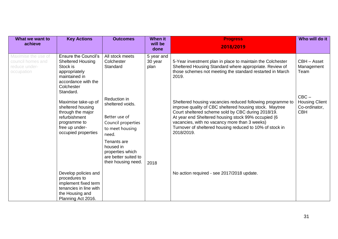| What we want to<br>achieve                                              | <b>Key Actions</b>                                                                                                                                      | <b>Outcomes</b>                                                                                     | When it<br>will be            | <b>Progress</b>                                                                                                                                                                                                                                                                                                                                               | Who will do it                                                  |
|-------------------------------------------------------------------------|---------------------------------------------------------------------------------------------------------------------------------------------------------|-----------------------------------------------------------------------------------------------------|-------------------------------|---------------------------------------------------------------------------------------------------------------------------------------------------------------------------------------------------------------------------------------------------------------------------------------------------------------------------------------------------------------|-----------------------------------------------------------------|
|                                                                         |                                                                                                                                                         |                                                                                                     | done                          | 2018/2019                                                                                                                                                                                                                                                                                                                                                     |                                                                 |
| Maximise the use of<br>council homes and<br>reduce under-<br>occupation | <b>Ensure the Council's</b><br><b>Sheltered Housing</b><br>Stock is<br>appropriately<br>maintained in<br>accordance with the<br>Colchester<br>Standard. | All stock meets<br>Colchester<br>Standard                                                           | 5 year and<br>30 year<br>plan | 5-Year investment plan in place to maintain the Colchester<br>Sheltered Housing Standard where appropriate. Review of<br>those schemes not meeting the standard restarted in March<br>2019.                                                                                                                                                                   | CBH - Asset<br>Management<br>Team                               |
|                                                                         | Maximise take-up of<br>sheltered housing<br>through the major<br>refurbishment<br>programme to<br>free up under-<br>occupied properties                 | Reduction in<br>sheltered voids.<br>Better use of<br>Council properties<br>to meet housing<br>need. |                               | Sheltered housing vacancies reduced following programme to<br>improve quality of CBC sheltered housing stock. Maytree<br>Court sheltered scheme sold by CBC during 2018/19.<br>At year end Sheltered housing stock 99% occupied (6<br>vacancies, with no vacancy more than 3 weeks)<br>Turnover of sheltered housing reduced to 10% of stock in<br>2018/2019. | $CBC -$<br><b>Housing Client</b><br>Co-ordinator,<br><b>CBH</b> |
|                                                                         |                                                                                                                                                         | Tenants are<br>housed in<br>properties which<br>are better suited to<br>their housing need.         | 2018                          |                                                                                                                                                                                                                                                                                                                                                               |                                                                 |
|                                                                         | Develop policies and<br>procedures to<br>implement fixed term<br>tenancies in line with<br>the Housing and<br>Planning Act 2016.                        |                                                                                                     |                               | No action required - see 2017/2018 update.                                                                                                                                                                                                                                                                                                                    |                                                                 |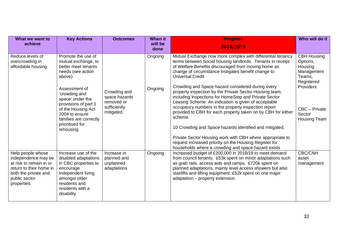| What we want to<br>achieve                                                                                                                             | <b>Key Actions</b>                                                                                                                                                                                                                                                              | <b>Outcomes</b>                                                           | <b>When it</b><br>will be | <b>Progress</b>                                                                                                                                                                                                                                                                                                                                                                                                                                                                                                                                                                                                                                                                                                                                                                                                                                                               | Who will do it                                                                                                                                 |
|--------------------------------------------------------------------------------------------------------------------------------------------------------|---------------------------------------------------------------------------------------------------------------------------------------------------------------------------------------------------------------------------------------------------------------------------------|---------------------------------------------------------------------------|---------------------------|-------------------------------------------------------------------------------------------------------------------------------------------------------------------------------------------------------------------------------------------------------------------------------------------------------------------------------------------------------------------------------------------------------------------------------------------------------------------------------------------------------------------------------------------------------------------------------------------------------------------------------------------------------------------------------------------------------------------------------------------------------------------------------------------------------------------------------------------------------------------------------|------------------------------------------------------------------------------------------------------------------------------------------------|
|                                                                                                                                                        |                                                                                                                                                                                                                                                                                 |                                                                           | done                      | 2018/2019                                                                                                                                                                                                                                                                                                                                                                                                                                                                                                                                                                                                                                                                                                                                                                                                                                                                     |                                                                                                                                                |
| Reduce levels of<br>overcrowding in<br>affordable housing                                                                                              | Promote the use of<br>mutual exchange, to<br>better meet tenants<br>needs (see action<br>above)<br>Assessment of<br>'crowding and<br>space' under the<br>provisions of part 1<br>of the Housing Act<br>2004 to ensure<br>families are correctly<br>prioritised for<br>rehousing | Crowding and<br>space hazards<br>removed or<br>sufficiently<br>mitigated. | Ongoing<br>Ongoing        | Mutual Exchange now more complex with differential tenancy<br>terms between Social housing landlords. Tenants in receipt<br>of Welfare Benefits discouraged from moving home as<br>change of circumstance instigates benefit change to<br><b>Universal Credit</b><br>Crowding and Space hazard considered during every<br>property inspection by the Private Sector Housing team,<br>including inspections for HomeStep and Private Sector<br>Leasing Scheme. An indication is given of acceptable<br>occupancy numbers in the property inspection report<br>provided to CBH for each property taken on by CBH for either<br>scheme.<br>10 Crowding and Space hazards identified and mitigated.<br>Private Sector Housing work with CBH where appropriate to<br>request increased priority on the Housing Register for<br>households where a crowding and space hazard exists | <b>CBH Housing</b><br>Options,<br>Housing<br>Management<br>Teams,<br>Registered<br><b>Providers</b><br>CBC - Private<br>Sector<br>Housing Team |
| Help people whose<br>independence may be<br>at risk to remain in or<br>return to their home in<br>both the private and<br>public sector<br>properties. | Increase use of the<br>disabled adaptations<br>in CBC properties to<br>encourage<br>independent living<br>amongst older<br>residents and<br>residents with a<br>disability                                                                                                      | Increase in<br>planned and<br>unplanned<br>adaptations                    | Ongoing                   | Increased budget of £200,000 in 2018/19 to meet demand<br>from council tenants. £53k spent on minor adaptations such<br>as grab rails, access aids and ramps. £720k spent on<br>planned adaptations, mainly level access showers but also<br>stairlifts and lifting equipment. £52k spent on one major<br>adaptation - property extension.                                                                                                                                                                                                                                                                                                                                                                                                                                                                                                                                    | <b>CBC/CNH</b><br>asset<br>management                                                                                                          |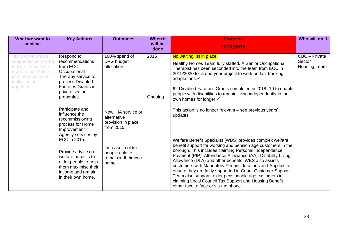| What we want to<br>achieve                                                                                                                             | <b>Key Actions</b>                                                                                                                                                       | <b>Outcomes</b>                                                                                                                    | <b>When it</b><br>will be<br>done | <b>Progress</b><br>2018/2019                                                                                                                                                                                                                                                                                                                                                               | Who will do it                          |
|--------------------------------------------------------------------------------------------------------------------------------------------------------|--------------------------------------------------------------------------------------------------------------------------------------------------------------------------|------------------------------------------------------------------------------------------------------------------------------------|-----------------------------------|--------------------------------------------------------------------------------------------------------------------------------------------------------------------------------------------------------------------------------------------------------------------------------------------------------------------------------------------------------------------------------------------|-----------------------------------------|
| Help people whose<br>independence may be<br>at risk to remain in or<br>return to their home in<br>both the private and<br>public sector<br>properties. | Respond to<br>recommendations<br>from ECC<br>Occupational<br>Therapy service to<br>process Disabled<br><b>Facilities Grants in</b><br>private sector<br>properties.      | 100% spend of<br>DFG budget<br>allocation                                                                                          | 2015<br>Ongoing                   | No waiting list in place.<br>Healthy Homes Team fully staffed. A Senior Occupational<br>Therapist has been seconded into the team from ECC in<br>2019/2020 for a one-year project to work on fast tracking<br>adaptations.√<br>62 Disabled Facilities Grants completed in 2018 -19 to enable<br>people with disabilities to remain living independently in their<br>own homes for longer.√ | CBC - Private<br>Sector<br>Housing Team |
|                                                                                                                                                        | Participate and<br>influence the<br>recommissioning<br>process for Home<br>Improvement<br>Agency services by<br>ECC in 2015.<br>Provide advice on<br>welfare benefits to | New HIA service or<br>alternative<br>provision in place<br>from 2015<br>Increase in older<br>people able to<br>remain in their own |                                   | This action is no longer relevant - see previous years'<br>updates<br>Welfare Benefit Specialist (WBS) provides complex welfare<br>benefit support for working and pension age customers in the<br>borough. This includes claiming Personal Independence<br>Payment (PIP), Attendance Allowance (AA), Disability Living                                                                    |                                         |
|                                                                                                                                                        | older people to help<br>them maximise their<br>income and remain<br>in their own home.                                                                                   | home                                                                                                                               |                                   | Allowance (DLA) and other benefits. WBS also assists<br>customers with Mandatory Reconsiderations and Appeals to<br>ensure they are fairly supported in Court. Customer Support<br>Team also supports older pensionable age customers in<br>claiming Local Council Tax Support and Housing Benefit<br>either face to face or via the phone.                                                |                                         |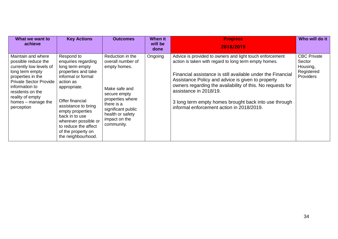| What we want to<br>achieve                                                                                                                                                                                                                  | <b>Key Actions</b>                                                                                                                                                                                                                                                                                         | <b>Outcomes</b>                                                                                                                                                                                   | When it<br>will be<br>done | <b>Progress</b><br>2018/2019                                                                                                                                                                                                                                                                                                                                                                                                        | Who will do it                                                             |
|---------------------------------------------------------------------------------------------------------------------------------------------------------------------------------------------------------------------------------------------|------------------------------------------------------------------------------------------------------------------------------------------------------------------------------------------------------------------------------------------------------------------------------------------------------------|---------------------------------------------------------------------------------------------------------------------------------------------------------------------------------------------------|----------------------------|-------------------------------------------------------------------------------------------------------------------------------------------------------------------------------------------------------------------------------------------------------------------------------------------------------------------------------------------------------------------------------------------------------------------------------------|----------------------------------------------------------------------------|
| Maintain and where<br>possible reduce the<br>currently low levels of<br>long term empty<br>properties in the<br><b>Private Sector Provide</b><br>information to<br>residents on the<br>reality of empty<br>homes – manage the<br>perception | Respond to<br>enquiries regarding<br>long term empty<br>properties and take<br>informal or formal<br>action as<br>appropriate.<br>Offer financial<br>assistance to bring<br>empty properties<br>back in to use<br>wherever possible or<br>to reduce the affect<br>of the property on<br>the neighbourhood. | Reduction in the<br>overall number of<br>empty homes.<br>Make safe and<br>secure empty<br>properties where<br>there is a<br>significant public<br>health or safety<br>impact on the<br>community. | Ongoing                    | Advice is provided to owners and light touch enforcement<br>action is taken with regard to long term empty homes.<br>Financial assistance is still available under the Financial<br>Assistance Policy and advice is given to property<br>owners regarding the availability of this. No requests for<br>assistance in 2018/19.<br>3 long term empty homes brought back into use through<br>informal enforcement action in 2018/2019. | <b>CBC Private</b><br>Sector<br>Housing,<br>Registered<br><b>Providers</b> |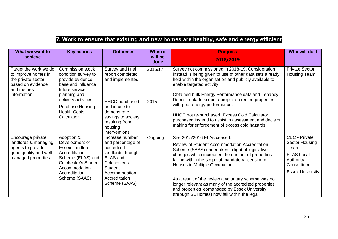#### **7. Work to ensure that existing and new homes are healthy, safe and energy efficient**

| What we want to<br>achieve                                                                                             | <b>Key actions</b>                                                                                                                                                                                                 | <b>Outcomes</b>                                                                                                                                                                      | <b>When it</b><br>will be<br>done | <b>Progress</b><br>2018/2019                                                                                                                                                                                                                                                                                                                                                                                                                                                                                   | Who will do it                                                                                                             |
|------------------------------------------------------------------------------------------------------------------------|--------------------------------------------------------------------------------------------------------------------------------------------------------------------------------------------------------------------|--------------------------------------------------------------------------------------------------------------------------------------------------------------------------------------|-----------------------------------|----------------------------------------------------------------------------------------------------------------------------------------------------------------------------------------------------------------------------------------------------------------------------------------------------------------------------------------------------------------------------------------------------------------------------------------------------------------------------------------------------------------|----------------------------------------------------------------------------------------------------------------------------|
| Target the work we do<br>to improve homes in<br>the private sector<br>based on evidence<br>and the best<br>information | <b>Commission stock</b><br>condition survey to<br>provide evidence<br>base and influence<br>future service<br>planning and<br>delivery activities.<br><b>Purchase Housing</b><br><b>Health Costs</b><br>Calculator | Survey and final<br>report completed<br>and implemented<br><b>HHCC</b> purchased<br>and in use to<br>demonstrate<br>savings to society<br>resulting from<br>housing<br>interventions | 2016/17<br>2015                   | Survey not commissioned in 2018-19. Consideration<br>instead is being given to use of other data sets already<br>held within the organisation and publicly available to<br>enable targeted activity.<br>Obtained bulk Energy Performance data and Tenancy<br>Deposit data to scope a project on rented properties<br>with poor energy performance.<br>HHCC not re-purchased. Excess Cold Calculator<br>purchased instead to assist in assessment and decision<br>making for enforcement of excess cold hazards | <b>Private Sector</b><br>Housing Team                                                                                      |
| Encourage private<br>landlords & managing<br>agents to provide<br>good quality and well<br>managed properties          | Adoption &<br>Development of<br><b>Essex Landlord</b><br>Accreditation<br>Scheme (ELAS) and<br><b>Colchester's Student</b><br>Accommodation<br>Accreditation<br>Scheme (SAAS)                                      | Increase number<br>and percentage of<br>accredited<br>landlords through<br><b>ELAS</b> and<br>Colchester's<br><b>Student</b><br>Accommodation<br>Accreditation<br>Scheme (SAAS)      | Ongoing                           | See 2015/2016 ELAs ceased.<br>Review of Student Accommodation Accreditation<br>Scheme (SAAS) undertaken in light of legislative<br>changes which increased the number of properties<br>falling within the scope of mandatory licensing of<br>Houses in Multiple Occupation.<br>As a result of the review a voluntary scheme was no<br>longer relevant as many of the accredited properties<br>and properties let/managed by Essex University<br>(through SUHomes) now fall within the legal                    | <b>CBC - Private</b><br>Sector Housing<br>Team<br><b>ELAS Local</b><br>Authority<br>Consortium.<br><b>Essex University</b> |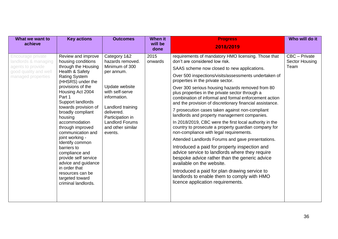| What we want to<br>achieve                                                                                    | <b>Key actions</b>                                                                                                                                                                                                                                                                                                                                                                                                                                                                                                             | <b>Outcomes</b>                                                                                                                                                                                                                        | When it<br>will be<br>done | <b>Progress</b><br>2018/2019                                                                                                                                                                                                                                                                                                                                                                                                                                                                                                                                                                                                                                                                                                                                                                                                                                                                                                                                                                                                                                                                               | Who will do it                          |
|---------------------------------------------------------------------------------------------------------------|--------------------------------------------------------------------------------------------------------------------------------------------------------------------------------------------------------------------------------------------------------------------------------------------------------------------------------------------------------------------------------------------------------------------------------------------------------------------------------------------------------------------------------|----------------------------------------------------------------------------------------------------------------------------------------------------------------------------------------------------------------------------------------|----------------------------|------------------------------------------------------------------------------------------------------------------------------------------------------------------------------------------------------------------------------------------------------------------------------------------------------------------------------------------------------------------------------------------------------------------------------------------------------------------------------------------------------------------------------------------------------------------------------------------------------------------------------------------------------------------------------------------------------------------------------------------------------------------------------------------------------------------------------------------------------------------------------------------------------------------------------------------------------------------------------------------------------------------------------------------------------------------------------------------------------------|-----------------------------------------|
| Encourage private<br>landlords & managing<br>agents to provide<br>good quality and well<br>managed properties | Review and improve<br>housing conditions<br>through the Housing<br>Health & Safety<br><b>Rating System</b><br>(HHSRS) under the<br>provisions of the<br>Housing Act 2004<br>Part 1<br>Support landlords<br>towards provision of<br>broadly compliant<br>housing<br>accommodation<br>through improved<br>communication and<br>joint working -<br>Identify common<br>barriers to<br>compliance and<br>provide self service<br>advice and guidance<br>in order that<br>resources can be<br>targeted toward<br>criminal landlords. | Category 1&2<br>hazards removed.<br>Minimum of 300<br>per annum.<br>Update website<br>with self-serve<br>information.<br>Landlord training<br>delivered.<br>Participation in<br><b>Landlord Forums</b><br>and other similar<br>events. | 2015<br>onwards            | requirements of mandatory HMO licensing. Those that<br>don't are considered low risk.<br>SAAS scheme now closed to new applications.<br>Over 500 inspections/visits/assessments undertaken of<br>properties in the private sector.<br>Over 300 serious housing hazards removed from 80<br>plus properties in the private sector through a<br>combination of informal and formal enforcement action<br>and the provision of discretionary financial assistance.<br>7 prosecution cases taken against non-compliant<br>landlords and property management companies.<br>In 2018/2019, CBC were the first local authority in the<br>country to prosecute a property guardian company for<br>non-compliance with legal requirements.<br>Attended Landlords Forums and gave presentations.<br>Introduced a paid for property inspection and<br>advice service to landlords where they require<br>bespoke advice rather than the generic advice<br>available on the website.<br>Introduced a paid for plan drawing service to<br>landlords to enable them to comply with HMO<br>licence application requirements. | CBC - Private<br>Sector Housing<br>Team |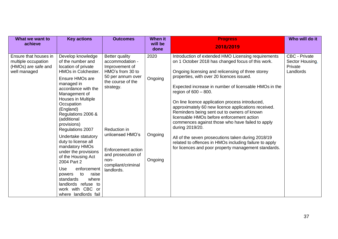| What we want to<br>achieve                                                          | <b>Key actions</b>                                                                                                                                                                                                                                                                                                                                                                                                                                                                                                                                          | <b>Outcomes</b>                                                                                                                                                                                                                                                   | <b>When it</b><br>will be             | <b>Progress</b>                                                                                                                                                                                                                                                                                                                                                                                                                                                                                                                                                                                                                                                                                                                                     | Who will do it                                                  |
|-------------------------------------------------------------------------------------|-------------------------------------------------------------------------------------------------------------------------------------------------------------------------------------------------------------------------------------------------------------------------------------------------------------------------------------------------------------------------------------------------------------------------------------------------------------------------------------------------------------------------------------------------------------|-------------------------------------------------------------------------------------------------------------------------------------------------------------------------------------------------------------------------------------------------------------------|---------------------------------------|-----------------------------------------------------------------------------------------------------------------------------------------------------------------------------------------------------------------------------------------------------------------------------------------------------------------------------------------------------------------------------------------------------------------------------------------------------------------------------------------------------------------------------------------------------------------------------------------------------------------------------------------------------------------------------------------------------------------------------------------------------|-----------------------------------------------------------------|
|                                                                                     |                                                                                                                                                                                                                                                                                                                                                                                                                                                                                                                                                             |                                                                                                                                                                                                                                                                   | done                                  | 2018/2019                                                                                                                                                                                                                                                                                                                                                                                                                                                                                                                                                                                                                                                                                                                                           |                                                                 |
| Ensure that houses in<br>multiple occupation<br>(HMOs) are safe and<br>well managed | Develop knowledge<br>of the number and<br>location of private<br>HMOs in Colchester.<br>Ensure HMOs are<br>managed in<br>accordance with the<br>Management of<br>Houses in Multiple<br>Occupation<br>(England)<br>Regulations 2006 &<br>(additional<br>provisions)<br>Regulations 2007<br>Undertake statutory<br>duty to license all<br>mandatory HMOs<br>under the provisions<br>of the Housing Act<br>2004 Part 2<br>Use<br>enforcement<br>to<br>raise<br>powers<br>where<br>standards<br>landlords refuse to<br>work with CBC or<br>where landlords fail | <b>Better quality</b><br>accommodation -<br>Improvement of<br>HMO's from 30 to<br>50 per annum over<br>the course of the<br>strategy.<br>Reduction in<br>unlicensed HMO's<br>Enforcement action<br>and prosecution of<br>non-<br>compliant/criminal<br>landlords. | 2020<br>Ongoing<br>Ongoing<br>Ongoing | Introduction of extended HMO Licensing requirements<br>on 1 October 2018 has changed focus of this work.<br>Ongoing licensing and relicensing of three storey<br>properties, with over 20 licences issued.<br>Expected increase in number of licensable HMOs in the<br>region of $600 - 800$ .<br>On line licence application process introduced,<br>approximately 60 new licence applications received.<br>Reminders being sent out to owners of known<br>licensable HMOs before enforcement action<br>commences against those who have failed to apply<br>during 2019/20.<br>All of the seven prosecutions taken during 2018/19<br>related to offences in HMOs including failure to apply<br>for licences and poor property management standards. | <b>CBC - Private</b><br>Sector Housing,<br>Private<br>Landlords |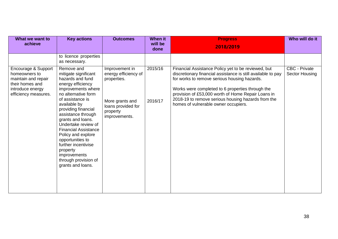| What we want to<br>achieve                                                                                                 | <b>Key actions</b>                                                                                                                                                                                                                                                                                                                                                                                                             | <b>Outcomes</b>                                                                                                             | When it<br>will be<br>done | <b>Progress</b><br>2018/2019                                                                                                                                                                                                                                                                                                                                                | Who will do it                         |
|----------------------------------------------------------------------------------------------------------------------------|--------------------------------------------------------------------------------------------------------------------------------------------------------------------------------------------------------------------------------------------------------------------------------------------------------------------------------------------------------------------------------------------------------------------------------|-----------------------------------------------------------------------------------------------------------------------------|----------------------------|-----------------------------------------------------------------------------------------------------------------------------------------------------------------------------------------------------------------------------------------------------------------------------------------------------------------------------------------------------------------------------|----------------------------------------|
|                                                                                                                            | to licence properties<br>as necessary.                                                                                                                                                                                                                                                                                                                                                                                         |                                                                                                                             |                            |                                                                                                                                                                                                                                                                                                                                                                             |                                        |
| Encourage & Support<br>homeowners to<br>maintain and repair<br>their homes and<br>introduce energy<br>efficiency measures. | Remove and<br>mitigate significant<br>hazards and fund<br>energy efficiency<br>improvements where<br>no alternative form<br>of assistance is<br>available by<br>providing financial<br>assistance through<br>grants and loans.<br>Undertake review of<br><b>Financial Assistance</b><br>Policy and explore<br>opportunities to<br>further incentivise<br>property<br>improvements<br>through provision of<br>grants and loans. | Improvement in<br>energy efficiency of<br>properties.<br>More grants and<br>loans provided for<br>property<br>improvements. | 2015/16<br>2016/17         | Financial Assistance Policy yet to be reviewed, but<br>discretionary financial assistance is still available to pay<br>for works to remove serious housing hazards.<br>Works were completed to 6 properties through the<br>provision of £53,000 worth of Home Repair Loans in<br>2018-19 to remove serious housing hazards from the<br>homes of vulnerable owner occupiers. | <b>CBC - Private</b><br>Sector Housing |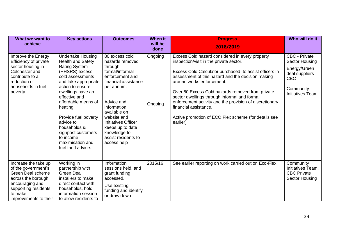| What we want to<br>achieve                                                                                                                                                    | <b>Key actions</b>                                                                                                                                                                                                                                                                                                                                                         | <b>Outcomes</b>                                                                                                                                                                                                                                                                              | <b>When it</b><br>will be<br>done | <b>Progress</b><br>2018/2019                                                                                                                                                                                                                                                                                                                                                                                                                                                                        | Who will do it                                                                                                                     |
|-------------------------------------------------------------------------------------------------------------------------------------------------------------------------------|----------------------------------------------------------------------------------------------------------------------------------------------------------------------------------------------------------------------------------------------------------------------------------------------------------------------------------------------------------------------------|----------------------------------------------------------------------------------------------------------------------------------------------------------------------------------------------------------------------------------------------------------------------------------------------|-----------------------------------|-----------------------------------------------------------------------------------------------------------------------------------------------------------------------------------------------------------------------------------------------------------------------------------------------------------------------------------------------------------------------------------------------------------------------------------------------------------------------------------------------------|------------------------------------------------------------------------------------------------------------------------------------|
| Improve the Energy<br>Efficiency of private<br>sector housing in<br>Colchester and<br>contribute to a<br>reduction of<br>households in fuel<br>poverty                        | <b>Undertake Housing</b><br><b>Health and Safety</b><br><b>Rating System</b><br>(HHSRS) excess<br>cold assessments<br>and take appropriate<br>action to ensure<br>dwellings have an<br>effective and<br>affordable means of<br>heating.<br>Provide fuel poverty<br>advice to<br>households &<br>signpost customers<br>to income<br>maximisation and<br>fuel tariff advice. | 80 excess cold<br>hazards removed<br>through<br>formal/informal<br>enforcement and<br>financial assistance<br>per annum.<br>Advice and<br>information<br>available on<br>website and<br><b>Initiatives Officer</b><br>keeps up to date<br>knowledge to<br>assist residents to<br>access help | Ongoing<br>Ongoing                | Excess Cold hazard considered in every property<br>inspection/visit in the private sector.<br>Excess Cold Calculator purchased, to assist officers in<br>assessment of this hazard and the decision making<br>around works enforcement.<br>Over 50 Excess Cold hazards removed from private<br>sector dwellings through informal and formal<br>enforcement activity and the provision of discretionary<br>financial assistance.<br>Active promotion of ECO Flex scheme (for details see<br>earlier) | <b>CBC - Private</b><br><b>Sector Housing</b><br>Energy/Green<br>deal suppliers<br>$CBC -$<br>Community<br><b>Initiatives Team</b> |
| Increase the take up<br>of the government's<br><b>Green Deal scheme</b><br>across the borough,<br>encouraging and<br>supporting residents<br>to make<br>improvements to their | Working in<br>partnership with<br><b>Green Deal</b><br>installers to make<br>direct contact with<br>households, hold<br>information session<br>to allow residents to                                                                                                                                                                                                       | Information<br>sessions held, and<br>grant funding<br>accessed.<br>Use existing<br>funding and identify<br>or draw down                                                                                                                                                                      | 2015/16                           | See earlier reporting on work carried out on Eco-Flex.                                                                                                                                                                                                                                                                                                                                                                                                                                              | Community<br>Initiatives Team,<br><b>CBC Private</b><br><b>Sector Housing</b>                                                      |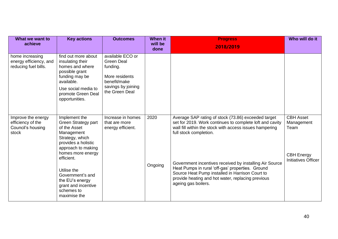| What we want to<br>achieve                                            | <b>Key actions</b>                                                                                                                                                                                                                                                               | <b>Outcomes</b>                                                                                                             | <b>When it</b><br>will be<br>done | <b>Progress</b><br>2018/2019                                                                                                                                                                                                                                                                                                                                                                                                                       | Who will do it                                                                            |
|-----------------------------------------------------------------------|----------------------------------------------------------------------------------------------------------------------------------------------------------------------------------------------------------------------------------------------------------------------------------|-----------------------------------------------------------------------------------------------------------------------------|-----------------------------------|----------------------------------------------------------------------------------------------------------------------------------------------------------------------------------------------------------------------------------------------------------------------------------------------------------------------------------------------------------------------------------------------------------------------------------------------------|-------------------------------------------------------------------------------------------|
| home increasing<br>energy efficiency, and<br>reducing fuel bills.     | find out more about<br>insulating their<br>homes and where<br>possible grant<br>funding may be<br>available.<br>Use social media to<br>promote Green Deal<br>opportunities.                                                                                                      | available ECO or<br><b>Green Deal</b><br>funding.<br>More residents<br>benefit/make<br>savings by joining<br>the Green Deal |                                   |                                                                                                                                                                                                                                                                                                                                                                                                                                                    |                                                                                           |
| Improve the energy<br>efficiency of the<br>Council's housing<br>stock | Implement the<br>Green Strategy part<br>of the Asset<br>Management<br>Strategy, which<br>provides a holistic<br>approach to making<br>homes more energy<br>efficient.<br>Utilise the<br>Government's and<br>the EU's energy<br>grant and incentive<br>schemes to<br>maximise the | Increase in homes<br>that are more<br>energy efficient.                                                                     | 2020<br>Ongoing                   | Average SAP rating of stock (73.86) exceeded target<br>set for 2019. Work continues to complete loft and cavity<br>wall fill within the stock with access issues hampering<br>full stock completion.<br>Government incentives received by installing Air Source<br>Heat Pumps in rural 'off-gas' properties. Ground<br>Source Heat Pump installed in Harrison Court to<br>provide heating and hot water, replacing previous<br>ageing gas boilers. | <b>CBH Asset</b><br>Management<br>Team<br><b>CBH Energy</b><br><b>Initiatives Officer</b> |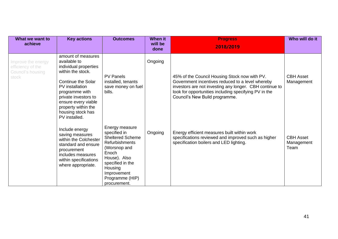| What we want to<br>achieve                                            | <b>Key actions</b>                                                                                                                                                                                                                                             | <b>Outcomes</b>                                                                                                                                                                                              | <b>When it</b><br>will be<br>done | <b>Progress</b><br>2018/2019                                                                                                                                                                                                                            | Who will do it                         |
|-----------------------------------------------------------------------|----------------------------------------------------------------------------------------------------------------------------------------------------------------------------------------------------------------------------------------------------------------|--------------------------------------------------------------------------------------------------------------------------------------------------------------------------------------------------------------|-----------------------------------|---------------------------------------------------------------------------------------------------------------------------------------------------------------------------------------------------------------------------------------------------------|----------------------------------------|
| Improve the energy<br>efficiency of the<br>Council's housing<br>stock | amount of measures<br>available to<br>individual properties<br>within the stock.<br><b>Continue the Solar</b><br>PV installation<br>programme with<br>private investors to<br>ensure every viable<br>property within the<br>housing stock has<br>PV installed. | <b>PV Panels</b><br>installed, tenants<br>save money on fuel<br>bills.                                                                                                                                       | Ongoing                           | 45% of the Council Housing Stock now with PV.<br>Government incentives reduced to a level whereby<br>investors are not investing any longer. CBH continue to<br>look for opportunities including specifying PV in the<br>Council's New Build programme. | <b>CBH Asset</b><br>Management         |
|                                                                       | Include energy<br>saving measures<br>within the Colchester<br>standard and ensure<br>procurement<br>includes measures<br>within specifications<br>where appropriate.                                                                                           | Energy measure<br>specified in<br><b>Sheltered Scheme</b><br><b>Refurbishments</b><br>(Worsnop and<br>Enoch<br>House). Also<br>specified in the<br>Housing<br>Improvement<br>Programme (HIP)<br>procurement. | Ongoing                           | Energy efficient measures built within work<br>specifications reviewed and improved such as higher<br>specification boilers and LED lighting.                                                                                                           | <b>CBH Asset</b><br>Management<br>Team |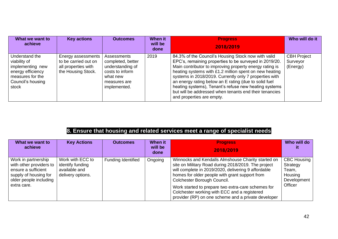| What we want to<br>achieve                                                                                                | <b>Key actions</b>                                                                      | <b>Outcomes</b>                                                                                                     | When it<br>will be<br>done | <b>Progress</b><br>2018/2019                                                                                                                                                                                                                                                                                                                                                                                                                                                                          | Who will do it                             |
|---------------------------------------------------------------------------------------------------------------------------|-----------------------------------------------------------------------------------------|---------------------------------------------------------------------------------------------------------------------|----------------------------|-------------------------------------------------------------------------------------------------------------------------------------------------------------------------------------------------------------------------------------------------------------------------------------------------------------------------------------------------------------------------------------------------------------------------------------------------------------------------------------------------------|--------------------------------------------|
| Understand the<br>viability of<br>implementing new<br>energy efficiency<br>measures for the<br>Council's housing<br>stock | Energy assessments<br>to be carried out on<br>all properties with<br>the Housing Stock. | Assessments<br>completed, better<br>understanding of<br>costs to inform<br>what new<br>measures are<br>implemented. | 2019                       | 84.3% of the Council's Housing Stock now with valid<br>EPC's, remaining properties to be surveyed in 2019/20.<br>Main contributor to improving property energy rating is<br>heating systems with £1.2 million spent on new heating<br>systems in 2018/2019. Currently only 7 properties with<br>an energy rating below an E rating (due to solid fuel<br>heating systems), Tenant's refuse new heating systems<br>but will be addressed when tenants end their tenancies<br>and properties are empty. | <b>CBH Project</b><br>Surveyor<br>(Energy) |

### **8. Ensure that housing and related services meet a range of specialist needs**

| What we want to<br>achieve                                                                                                              | <b>Key Actions</b>                                                         | <b>Outcomes</b>    | <b>When it</b><br>will be<br>done | <b>Progress</b><br>2018/2019                                                                                                                                                                                                                                                                                                                                                                                   | Who will do                                                                  |
|-----------------------------------------------------------------------------------------------------------------------------------------|----------------------------------------------------------------------------|--------------------|-----------------------------------|----------------------------------------------------------------------------------------------------------------------------------------------------------------------------------------------------------------------------------------------------------------------------------------------------------------------------------------------------------------------------------------------------------------|------------------------------------------------------------------------------|
| Work in partnership<br>with other providers to<br>ensure a sufficient<br>supply of housing for<br>older people including<br>extra care. | Work with ECC to<br>identify funding<br>available and<br>delivery options. | Funding Identified | Ongoing                           | Winnocks and Kendalls Almshouse Charity started on<br>site on Military Road during 2018/2019. The project<br>will complete in 2019/2020, delivering 9 affordable<br>homes for older people with grant support from<br>Colchester Borough Council.<br>Work started to prepare two extra-care schemes for<br>Colchester working with ECC and a registered<br>provider (RP) on one scheme and a private developer | <b>CBC Housing</b><br>Strategy<br>Team,<br>Housing<br>Development<br>Officer |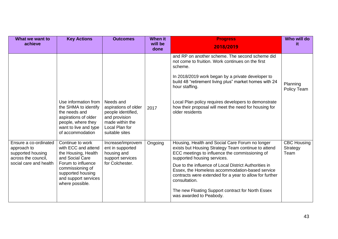| What we want to<br>achieve                                                                                 | <b>Key Actions</b>                                                                                                                                                                          | <b>Outcomes</b>                                                                                                                 | <b>When it</b><br>will be<br>done | <b>Progress</b><br>2018/2019                                                                                                                                                                                                                                                                                                                                                                                                                                    | Who will do<br>it                      |
|------------------------------------------------------------------------------------------------------------|---------------------------------------------------------------------------------------------------------------------------------------------------------------------------------------------|---------------------------------------------------------------------------------------------------------------------------------|-----------------------------------|-----------------------------------------------------------------------------------------------------------------------------------------------------------------------------------------------------------------------------------------------------------------------------------------------------------------------------------------------------------------------------------------------------------------------------------------------------------------|----------------------------------------|
|                                                                                                            | Use information from<br>the SHMA to identify<br>the needs and<br>aspirations of older<br>people, where they<br>want to live and type<br>of accommodation                                    | Needs and<br>aspirations of older<br>people identified,<br>and provision<br>made within the<br>Local Plan for<br>suitable sites | 2017                              | and RP on another scheme. The second scheme did<br>not come to fruition. Work continues on the first<br>scheme.<br>In 2018/2019 work began by a private developer to<br>build 48 "retirement living plus" market homes with 24<br>hour staffing.<br>Local Plan policy requires developers to demonstrate<br>how their proposal will meet the need for housing for<br>older residents                                                                            | Planning<br>Policy Team                |
| Ensure a co-ordinated<br>approach to<br>supported housing<br>across the council,<br>social care and health | Continue to work<br>with ECC and attend<br>the Housing, Health<br>and Social Care<br>Forum to influence<br>commissioning of<br>supported housing<br>and support services<br>where possible. | Increase/improvem<br>ent in supported<br>housing and<br>support services<br>for Colchester.                                     | Ongoing                           | Housing, Health and Social Care Forum no longer<br>exists but Housing Strategy Team continue to attend<br>ECC meetings to influence the commissioning of<br>supported housing services.<br>Due to the influence of Local District Authorities in<br>Essex, the Homeless accommodation-based service<br>contracts were extended for a year to allow for further<br>consultation.<br>The new Floating Support contract for North Essex<br>was awarded to Peabody. | <b>CBC Housing</b><br>Strategy<br>Team |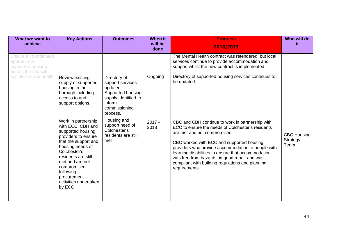| What we want to<br>achieve                                                       | <b>Key Actions</b>                                                                                                                                                                                                                                                       | <b>Outcomes</b>                                                                                                                  | <b>When it</b><br>will be<br>done | <b>Progress</b><br>2018/2019                                                                                                                                                                                                                                                                                                                                                                                         | Who will do<br>it.                     |
|----------------------------------------------------------------------------------|--------------------------------------------------------------------------------------------------------------------------------------------------------------------------------------------------------------------------------------------------------------------------|----------------------------------------------------------------------------------------------------------------------------------|-----------------------------------|----------------------------------------------------------------------------------------------------------------------------------------------------------------------------------------------------------------------------------------------------------------------------------------------------------------------------------------------------------------------------------------------------------------------|----------------------------------------|
| Ensure a co-ordinated<br>approach to<br>supported housing<br>across the council, |                                                                                                                                                                                                                                                                          |                                                                                                                                  |                                   | The Mental Health contract was retendered, but local<br>services continue to provide accommodation and<br>support whilst the new contract is implemented.                                                                                                                                                                                                                                                            |                                        |
| social care and health                                                           | <b>Review existing</b><br>supply of supported<br>housing in the<br>borough including<br>access to and<br>support options.                                                                                                                                                | Directory of<br>support services<br>updated.<br>Supported housing<br>supply identified to<br>inform<br>commissioning<br>process. | Ongoing                           | Directory of supported housing services continues to<br>be updated.                                                                                                                                                                                                                                                                                                                                                  |                                        |
|                                                                                  | Work in partnership<br>with ECC, CBH and<br>supported housing<br>providers to ensure<br>that the support and<br>housing needs of<br>Colchester's<br>residents are still<br>met and are not<br>compromised<br>following<br>procurement<br>activities undertaken<br>by ECC | Housing and<br>support need of<br>Colchester's<br>residents are still<br>met                                                     | $2017 -$<br>2018                  | CBC and CBH continue to work in partnership with<br>ECC to ensure the needs of Colchester's residents<br>are met and not compromised.<br>CBC worked with ECC and supported housing<br>providers who provide accommodation to people with<br>learning disabilities to ensure that accommodation<br>was free from hazards, in good repair and was<br>compliant with building regulations and planning<br>requirements. | <b>CBC Housing</b><br>Strategy<br>Team |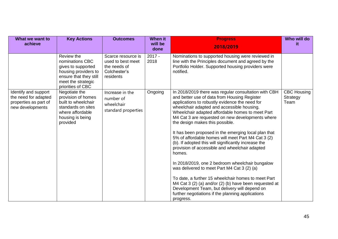| What we want to<br>achieve                                                                | <b>Key Actions</b>                                                                                                                               | <b>Outcomes</b>                                                                      | <b>When it</b><br>will be<br>done | <b>Progress</b><br>2018/2019                                                                                                                                                                                                                                                                                                                                                                                                                                                                                                                                                                                                                                                                                                                                                                                                                                                                                            | Who will do<br>it                      |
|-------------------------------------------------------------------------------------------|--------------------------------------------------------------------------------------------------------------------------------------------------|--------------------------------------------------------------------------------------|-----------------------------------|-------------------------------------------------------------------------------------------------------------------------------------------------------------------------------------------------------------------------------------------------------------------------------------------------------------------------------------------------------------------------------------------------------------------------------------------------------------------------------------------------------------------------------------------------------------------------------------------------------------------------------------------------------------------------------------------------------------------------------------------------------------------------------------------------------------------------------------------------------------------------------------------------------------------------|----------------------------------------|
|                                                                                           | Review the<br>nominations CBC<br>gives to supported<br>housing providers to<br>ensure that they still<br>meet the strategic<br>priorities of CBC | Scarce resource is<br>used to best meet<br>the needs of<br>Colchester's<br>residents | $2017 -$<br>2018                  | Nominations to supported housing were reviewed in<br>line with the Principles document and agreed by the<br>Portfolio Holder. Supported housing providers were<br>notified.                                                                                                                                                                                                                                                                                                                                                                                                                                                                                                                                                                                                                                                                                                                                             |                                        |
| Identify and support<br>the need for adapted<br>properties as part of<br>new developments | Negotiate the<br>provision of homes<br>built to wheelchair<br>standards on sites<br>where affordable<br>housing is being<br>provided             | Increase in the<br>number of<br>wheelchair<br>standard properties                    | Ongoing                           | In 2018/2019 there was regular consultation with CBH<br>and better use of data from Housing Register<br>applications to robustly evidence the need for<br>wheelchair adapted and accessible housing.<br>Wheelchair adapted affordable homes to meet Part<br>M4 Cat 3 are requested on new developments where<br>the design makes this possible.<br>It has been proposed in the emerging local plan that<br>5% of affordable homes will meet Part M4 Cat 3 (2)<br>(b). If adopted this will significantly increase the<br>provision of accessible and wheelchair adapted<br>homes.<br>In 2018/2019, one 2 bedroom wheelchair bungalow<br>was delivered to meet Part M4 Cat 3 (2) (a)<br>To date, a further 15 wheelchair homes to meet Part<br>M4 Cat 3 (2) (a) and/or (2) (b) have been requested at<br>Development Team, but delivery will depend on<br>further negotiations if the planning applications<br>progress. | <b>CBC Housing</b><br>Strategy<br>Team |